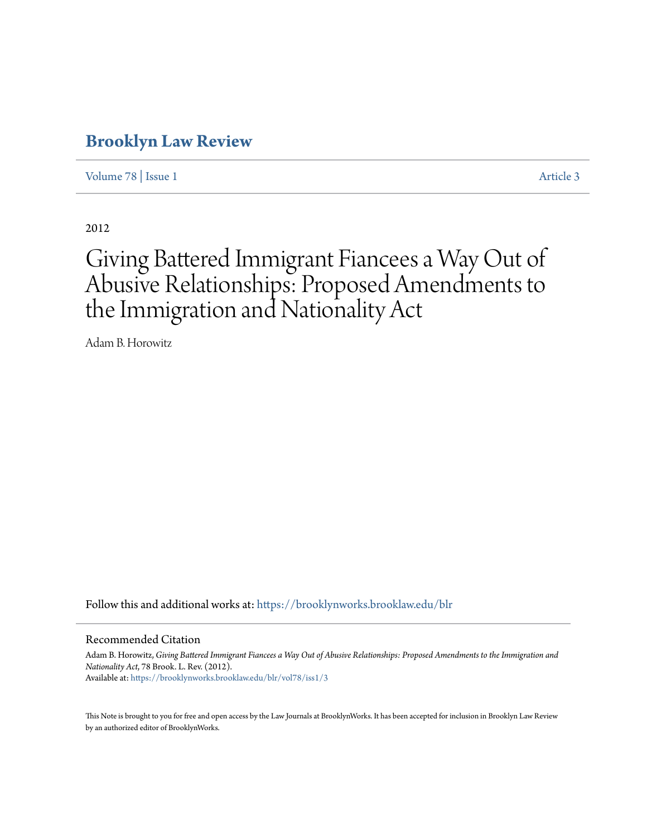# **[Brooklyn Law Review](https://brooklynworks.brooklaw.edu/blr?utm_source=brooklynworks.brooklaw.edu%2Fblr%2Fvol78%2Fiss1%2F3&utm_medium=PDF&utm_campaign=PDFCoverPages)**

[Volume 78](https://brooklynworks.brooklaw.edu/blr/vol78?utm_source=brooklynworks.brooklaw.edu%2Fblr%2Fvol78%2Fiss1%2F3&utm_medium=PDF&utm_campaign=PDFCoverPages) | [Issue 1](https://brooklynworks.brooklaw.edu/blr/vol78/iss1?utm_source=brooklynworks.brooklaw.edu%2Fblr%2Fvol78%2Fiss1%2F3&utm_medium=PDF&utm_campaign=PDFCoverPages) [Article 3](https://brooklynworks.brooklaw.edu/blr/vol78/iss1/3?utm_source=brooklynworks.brooklaw.edu%2Fblr%2Fvol78%2Fiss1%2F3&utm_medium=PDF&utm_campaign=PDFCoverPages)

2012

# Giving Battered Immigrant Fiancees a Way Out of Abusive Relationships: Proposed Amendments to the Immigration and Nationality Act

Adam B. Horowitz

Follow this and additional works at: [https://brooklynworks.brooklaw.edu/blr](https://brooklynworks.brooklaw.edu/blr?utm_source=brooklynworks.brooklaw.edu%2Fblr%2Fvol78%2Fiss1%2F3&utm_medium=PDF&utm_campaign=PDFCoverPages)

#### Recommended Citation

Adam B. Horowitz, *Giving Battered Immigrant Fiancees a Way Out of Abusive Relationships: Proposed Amendments to the Immigration and Nationality Act*, 78 Brook. L. Rev. (2012). Available at: [https://brooklynworks.brooklaw.edu/blr/vol78/iss1/3](https://brooklynworks.brooklaw.edu/blr/vol78/iss1/3?utm_source=brooklynworks.brooklaw.edu%2Fblr%2Fvol78%2Fiss1%2F3&utm_medium=PDF&utm_campaign=PDFCoverPages)

This Note is brought to you for free and open access by the Law Journals at BrooklynWorks. It has been accepted for inclusion in Brooklyn Law Review by an authorized editor of BrooklynWorks.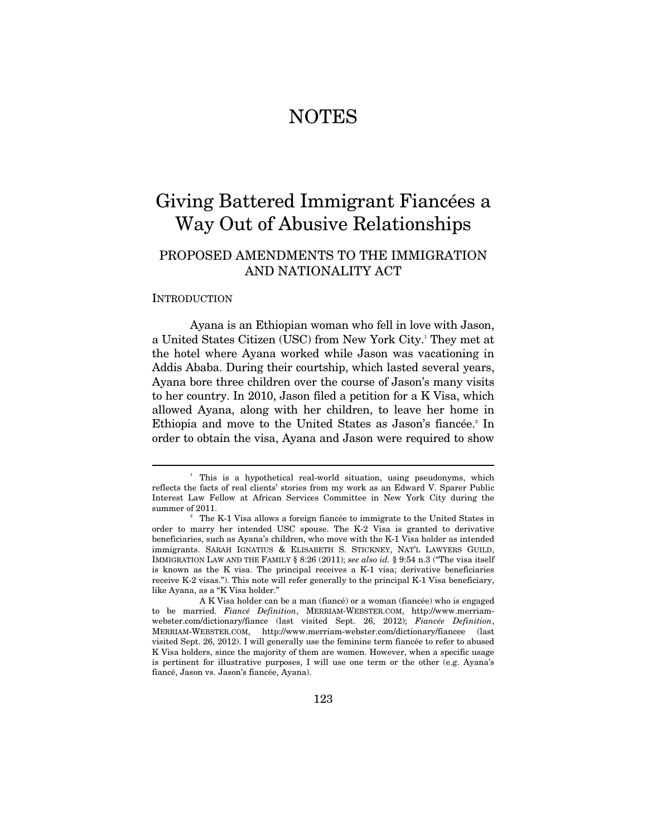# NOTES

# Giving Battered Immigrant Fiancées a Way Out of Abusive Relationships

# PROPOSED AMENDMENTS TO THE IMMIGRATION AND NATIONALITY ACT

#### INTRODUCTION

 $\overline{a}$ 

Ayana is an Ethiopian woman who fell in love with Jason, a United States Citizen (USC) from New York City.<sup>1</sup> They met at the hotel where Ayana worked while Jason was vacationing in Addis Ababa. During their courtship, which lasted several years, Ayana bore three children over the course of Jason's many visits to her country. In 2010, Jason filed a petition for a K Visa, which allowed Ayana, along with her children, to leave her home in Ethiopia and move to the United States as Jason's fiancée.<sup>2</sup> In order to obtain the visa, Ayana and Jason were required to show

<sup>&</sup>lt;sup>1</sup> This is a hypothetical real-world situation, using pseudonyms, which reflects the facts of real clients' stories from my work as an Edward V. Sparer Public Interest Law Fellow at African Services Committee in New York City during the summer of 2011.

The K-1 Visa allows a foreign fiancée to immigrate to the United States in order to marry her intended USC spouse. The K-2 Visa is granted to derivative beneficiaries, such as Ayana's children, who move with the K-1 Visa holder as intended immigrants. SARAH IGNATIUS & ELISABETH S. STICKNEY, NAT'L LAWYERS GUILD, IMMIGRATION LAW AND THE FAMILY § 8:26 (2011); *see also id.* § 9:54 n.3 ("The visa itself is known as the K visa. The principal receives a K-1 visa; derivative beneficiaries receive K-2 visas."). This note will refer generally to the principal K-1 Visa beneficiary, like Ayana, as a "K Visa holder."

A K Visa holder can be a man (fiancé) or a woman (fiancée) who is engaged to be married. *Fiancé Definition*, MERRIAM-WEBSTER.COM, http://www.merriamwebster.com/dictionary/fiance (last visited Sept. 26, 2012); *Fiancée Definition*, MERRIAM-WEBSTER.COM, http://www.merriam-webster.com/dictionary/fiancee (last visited Sept. 26, 2012). I will generally use the feminine term fiancée to refer to abused K Visa holders, since the majority of them are women. However, when a specific usage is pertinent for illustrative purposes, I will use one term or the other (e.g. Ayana's fiancé, Jason vs. Jason's fiancée, Ayana).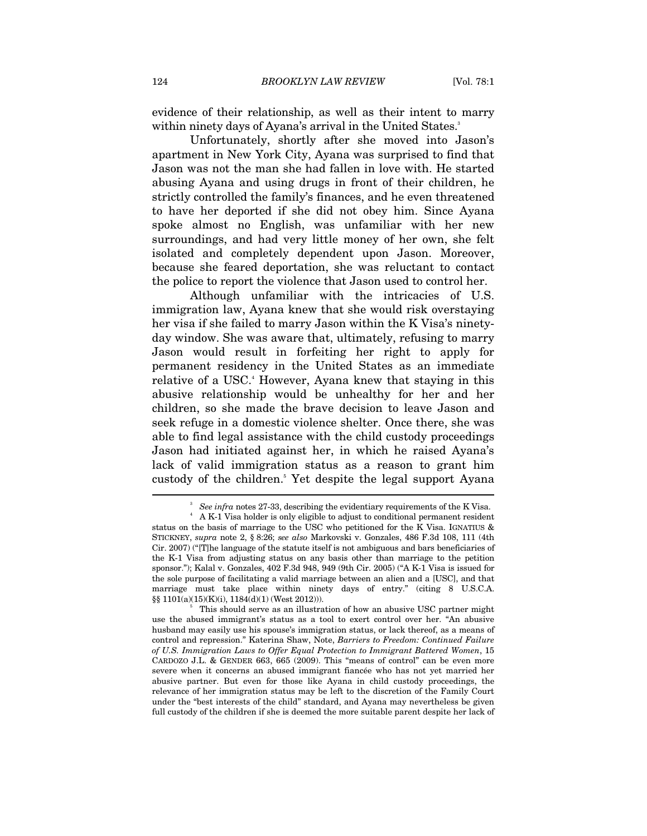evidence of their relationship, as well as their intent to marry within ninety days of Ayana's arrival in the United States.<sup>3</sup>

Unfortunately, shortly after she moved into Jason's apartment in New York City, Ayana was surprised to find that Jason was not the man she had fallen in love with. He started abusing Ayana and using drugs in front of their children, he strictly controlled the family's finances, and he even threatened to have her deported if she did not obey him. Since Ayana spoke almost no English, was unfamiliar with her new surroundings, and had very little money of her own, she felt isolated and completely dependent upon Jason. Moreover, because she feared deportation, she was reluctant to contact the police to report the violence that Jason used to control her.

Although unfamiliar with the intricacies of U.S. immigration law, Ayana knew that she would risk overstaying her visa if she failed to marry Jason within the K Visa's ninetyday window. She was aware that, ultimately, refusing to marry Jason would result in forfeiting her right to apply for permanent residency in the United States as an immediate relative of a USC.<sup>4</sup> However, Ayana knew that staying in this abusive relationship would be unhealthy for her and her children, so she made the brave decision to leave Jason and seek refuge in a domestic violence shelter. Once there, she was able to find legal assistance with the child custody proceedings Jason had initiated against her, in which he raised Ayana's lack of valid immigration status as a reason to grant him custody of the children.<sup>5</sup> Yet despite the legal support Ayana

<sup>3</sup> *See infra* notes 27-33, describing the evidentiary requirements of the K Visa.

A K-1 Visa holder is only eligible to adjust to conditional permanent resident status on the basis of marriage to the USC who petitioned for the K Visa. IGNATIUS & STICKNEY, *supra* note 2, § 8:26; *see also* Markovski v. Gonzales, 486 F.3d 108, 111 (4th Cir. 2007) ("[T]he language of the statute itself is not ambiguous and bars beneficiaries of the K-1 Visa from adjusting status on any basis other than marriage to the petition sponsor."); Kalal v. Gonzales, 402 F.3d 948, 949 (9th Cir. 2005) ("A K-1 Visa is issued for the sole purpose of facilitating a valid marriage between an alien and a [USC], and that marriage must take place within ninety days of entry." (citing 8 U.S.C.A. §§ 1101(a)(15)(K)(i), 1184(d)(1) (West 2012))).

This should serve as an illustration of how an abusive USC partner might use the abused immigrant's status as a tool to exert control over her. "An abusive husband may easily use his spouse's immigration status, or lack thereof, as a means of control and repression." Katerina Shaw, Note, *Barriers to Freedom: Continued Failure of U.S. Immigration Laws to Offer Equal Protection to Immigrant Battered Women*, 15 CARDOZO J.L. & GENDER 663, 665 (2009). This "means of control" can be even more severe when it concerns an abused immigrant fiancée who has not yet married her abusive partner. But even for those like Ayana in child custody proceedings, the relevance of her immigration status may be left to the discretion of the Family Court under the "best interests of the child" standard, and Ayana may nevertheless be given full custody of the children if she is deemed the more suitable parent despite her lack of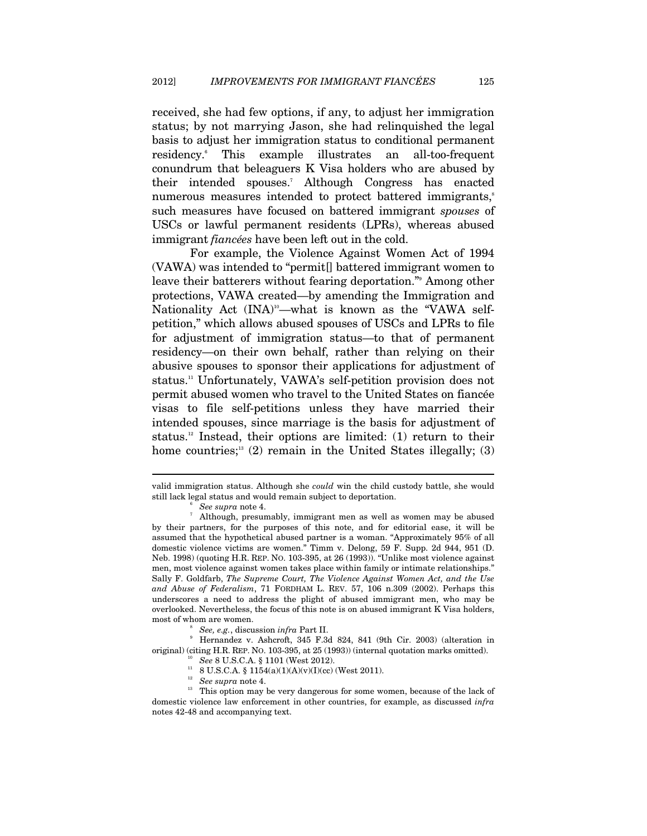received, she had few options, if any, to adjust her immigration status; by not marrying Jason, she had relinquished the legal basis to adjust her immigration status to conditional permanent residency.<sup>6</sup> This example illustrates an all-too-frequent conundrum that beleaguers K Visa holders who are abused by their intended spouses.7 Although Congress has enacted numerous measures intended to protect battered immigrants,<sup>8</sup> such measures have focused on battered immigrant *spouses* of USCs or lawful permanent residents (LPRs), whereas abused immigrant *fiancées* have been left out in the cold.

For example, the Violence Against Women Act of 1994 (VAWA) was intended to "permit[] battered immigrant women to leave their batterers without fearing deportation."9 Among other protections, VAWA created—by amending the Immigration and Nationality Act  $(INA)^{10}$ —what is known as the "VAWA selfpetition," which allows abused spouses of USCs and LPRs to file for adjustment of immigration status—to that of permanent residency—on their own behalf, rather than relying on their abusive spouses to sponsor their applications for adjustment of status.11 Unfortunately, VAWA's self-petition provision does not permit abused women who travel to the United States on fiancée visas to file self-petitions unless they have married their intended spouses, since marriage is the basis for adjustment of status.<sup>12</sup> Instead, their options are limited: (1) return to their home countries;<sup>13</sup> (2) remain in the United States illegally; (3)

valid immigration status. Although she *could* win the child custody battle, she would still lack legal status and would remain subject to deportation. 6

*See supra* note 4. 7

Although, presumably, immigrant men as well as women may be abused by their partners, for the purposes of this note, and for editorial ease, it will be assumed that the hypothetical abused partner is a woman. "Approximately 95% of all domestic violence victims are women." Timm v. Delong, 59 F. Supp. 2d 944, 951 (D. Neb. 1998) (quoting H.R. REP. NO. 103-395, at 26 (1993)). "Unlike most violence against men, most violence against women takes place within family or intimate relationships." Sally F. Goldfarb, *The Supreme Court, The Violence Against Women Act, and the Use and Abuse of Federalism*, 71 FORDHAM L. REV. 57, 106 n.309 (2002). Perhaps this underscores a need to address the plight of abused immigrant men, who may be overlooked. Nevertheless, the focus of this note is on abused immigrant K Visa holders, most of whom are women.

*See, e.g., discussion infra Part II.* 

Hernandez v. Ashcroft, 345 F.3d 824, 841 (9th Cir. 2003) (alteration in % original) (citing H.R. REP. NO. 103-395, at 25 (1993)) (internal quotation marks omitted).  $^{10}$  *See* 8 U.S.C.A. § 1101 (West 2012).  $^{11}$  8 U.S.C.A. § 1154(a)(1)(A)(v)(I)(cc) (West 2011).  $^{12}$  *See supra* note 4.

<sup>&</sup>lt;sup>13</sup> This option may be very dangerous for some women, because of the lack of domestic violence law enforcement in other countries, for example, as discussed *infra* notes 42-48 and accompanying text.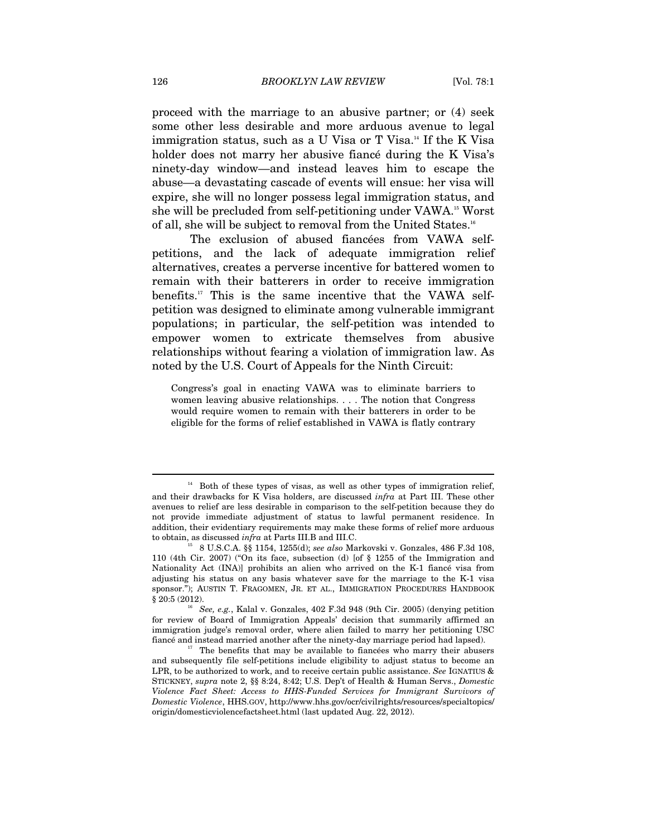proceed with the marriage to an abusive partner; or (4) seek some other less desirable and more arduous avenue to legal immigration status, such as a U Visa or T Visa.<sup>14</sup> If the K Visa holder does not marry her abusive fiancé during the K Visa's ninety-day window—and instead leaves him to escape the abuse—a devastating cascade of events will ensue: her visa will expire, she will no longer possess legal immigration status, and she will be precluded from self-petitioning under VAWA.15 Worst of all, she will be subject to removal from the United States.16

The exclusion of abused fiancées from VAWA selfpetitions, and the lack of adequate immigration relief alternatives, creates a perverse incentive for battered women to remain with their batterers in order to receive immigration benefits.17 This is the same incentive that the VAWA selfpetition was designed to eliminate among vulnerable immigrant populations; in particular, the self-petition was intended to empower women to extricate themselves from abusive relationships without fearing a violation of immigration law. As noted by the U.S. Court of Appeals for the Ninth Circuit:

Congress's goal in enacting VAWA was to eliminate barriers to women leaving abusive relationships. . . . The notion that Congress would require women to remain with their batterers in order to be eligible for the forms of relief established in VAWA is flatly contrary

<sup>&</sup>lt;sup>14</sup> Both of these types of visas, as well as other types of immigration relief, and their drawbacks for K Visa holders, are discussed *infra* at Part III. These other avenues to relief are less desirable in comparison to the self-petition because they do not provide immediate adjustment of status to lawful permanent residence. In addition, their evidentiary requirements may make these forms of relief more arduous to obtain, as discussed *infra* at Parts III.B and III.C.<br><sup>15</sup> 8 U.S.C.A. §§ 1154, 1255(d); *see also* Markovski v. Gonzales, 486 F.3d 108,

<sup>110 (4</sup>th Cir. 2007) ("On its face, subsection (d) [of § 1255 of the Immigration and Nationality Act (INA)] prohibits an alien who arrived on the K-1 fiancé visa from adjusting his status on any basis whatever save for the marriage to the K-1 visa sponsor."); AUSTIN T. FRAGOMEN, JR. ET AL., IMMIGRATION PROCEDURES HANDBOOK § 20:5 (2012).

<sup>&</sup>lt;sup>16</sup> See, e.g., Kalal v. Gonzales, 402 F.3d 948 (9th Cir. 2005) (denying petition for review of Board of Immigration Appeals' decision that summarily affirmed an immigration judge's removal order, where alien failed to marry her petitioning USC fiancé and instead married another after the ninety-day marriage period had lapsed). 17 The benefits that may be available to fiancées who marry their abusers

and subsequently file self-petitions include eligibility to adjust status to become an LPR, to be authorized to work, and to receive certain public assistance. *See* IGNATIUS & STICKNEY, *supra* note 2, §§ 8:24, 8:42; U.S. Dep't of Health & Human Servs., *Domestic Violence Fact Sheet: Access to HHS-Funded Services for Immigrant Survivors of Domestic Violence*, HHS.GOV, http://www.hhs.gov/ocr/civilrights/resources/specialtopics/ origin/domesticviolencefactsheet.html (last updated Aug. 22, 2012).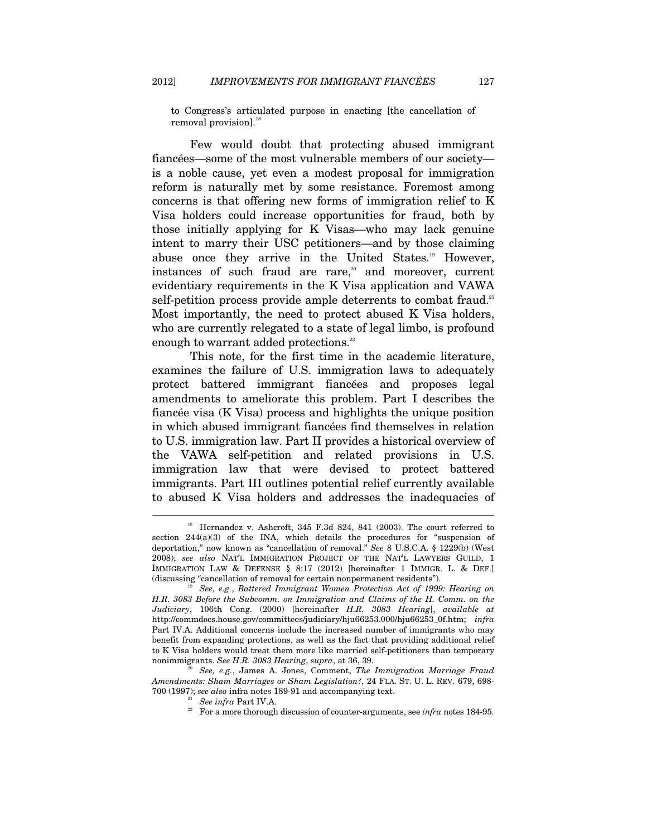to Congress's articulated purpose in enacting [the cancellation of removal provision].<sup>18</sup>

Few would doubt that protecting abused immigrant fiancées—some of the most vulnerable members of our society is a noble cause, yet even a modest proposal for immigration reform is naturally met by some resistance. Foremost among concerns is that offering new forms of immigration relief to K Visa holders could increase opportunities for fraud, both by those initially applying for K Visas—who may lack genuine intent to marry their USC petitioners—and by those claiming abuse once they arrive in the United States.<sup>19</sup> However, instances of such fraud are rare, $\infty$  and moreover, current evidentiary requirements in the K Visa application and VAWA self-petition process provide ample deterrents to combat fraud.<sup>21</sup> Most importantly, the need to protect abused K Visa holders, who are currently relegated to a state of legal limbo, is profound enough to warrant added protections.<sup>22</sup>

This note, for the first time in the academic literature, examines the failure of U.S. immigration laws to adequately protect battered immigrant fiancées and proposes legal amendments to ameliorate this problem. Part I describes the fiancée visa (K Visa) process and highlights the unique position in which abused immigrant fiancées find themselves in relation to U.S. immigration law. Part II provides a historical overview of the VAWA self-petition and related provisions in U.S. immigration law that were devised to protect battered immigrants. Part III outlines potential relief currently available to abused K Visa holders and addresses the inadequacies of

<sup>&</sup>lt;sup>18</sup> Hernandez v. Ashcroft, 345 F.3d 824, 841 (2003). The court referred to section  $244(a)(3)$  of the INA, which details the procedures for "suspension of deportation," now known as "cancellation of removal." *See* 8 U.S.C.A. § 1229(b) (West 2008); *see also* NAT'L IMMIGRATION PROJECT OF THE NAT'L LAWYERS GUILD, 1 IMMIGRATION LAW & DEFENSE § 8:17 (2012) [hereinafter 1 IMMIGR. L. & DEF.] (discussing "cancellation of removal for certain nonpermanent residents"). 19 *See, e.g.*, *Battered Immigrant Women Protection Act of 1999: Hearing on* 

*H.R. 3083 Before the Subcomm. on Immigration and Claims of the H. Comm. on the Judiciary*, 106th Cong. (2000) [hereinafter *H.R. 3083 Hearing*], *available at* http://commdocs.house.gov/committees/judiciary/hju66253.000/hju66253\_0f.htm; *infra* Part IV.A. Additional concerns include the increased number of immigrants who may benefit from expanding protections, as well as the fact that providing additional relief to K Visa holders would treat them more like married self-petitioners than temporary nonimmigrants. See H.R. 3083 Hearing, supra, at 36, 39.

See, e.g., James A. Jones, Comment, *The Immigration Marriage Fraud Amendments: Sham Marriages or Sham Legislation?*, 24 FLA. ST. U. L. REV. 679, 698-

<sup>&</sup>lt;sup>21</sup> See infra Part IV.A.<br><sup>22</sup> For a more thorough discussion of counter-arguments, see *infra* notes 184-95.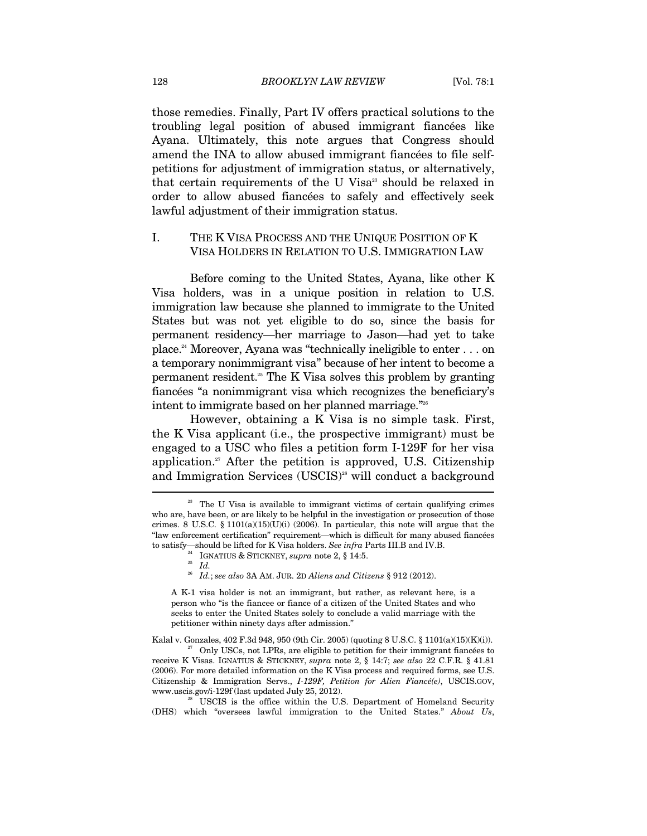those remedies. Finally, Part IV offers practical solutions to the troubling legal position of abused immigrant fiancées like Ayana. Ultimately, this note argues that Congress should amend the INA to allow abused immigrant fiancées to file selfpetitions for adjustment of immigration status, or alternatively, that certain requirements of the U Visa<sup>23</sup> should be relaxed in order to allow abused fiancées to safely and effectively seek lawful adjustment of their immigration status.

### I. THE K VISA PROCESS AND THE UNIQUE POSITION OF K VISA HOLDERS IN RELATION TO U.S. IMMIGRATION LAW

Before coming to the United States, Ayana, like other K Visa holders, was in a unique position in relation to U.S. immigration law because she planned to immigrate to the United States but was not yet eligible to do so, since the basis for permanent residency—her marriage to Jason—had yet to take place.24 Moreover, Ayana was "technically ineligible to enter . . . on a temporary nonimmigrant visa" because of her intent to become a permanent resident.25 The K Visa solves this problem by granting fiancées "a nonimmigrant visa which recognizes the beneficiary's intent to immigrate based on her planned marriage."26

However, obtaining a K Visa is no simple task. First, the K Visa applicant (i.e., the prospective immigrant) must be engaged to a USC who files a petition form I-129F for her visa application.<sup>27</sup> After the petition is approved, U.S. Citizenship and Immigration Services (USCIS)<sup>28</sup> will conduct a background

<sup>26</sup> *Id.*; *see also* 3A AM. JUR. 2D *Aliens and Citizens* § 912 (2012).

A K-1 visa holder is not an immigrant, but rather, as relevant here, is a person who "is the fiancee or fiance of a citizen of the United States and who seeks to enter the United States solely to conclude a valid marriage with the petitioner within ninety days after admission."

Kalal v. Gonzales, 402 F.3d 948, 950 (9th Cir. 2005) (quoting 8 U.S.C. § 1101(a)(15)(K)(i)). <sup>27</sup> Only USCs, not LPRs, are eligible to petition for their immigrant fiancées to

(DHS) which "oversees lawful immigration to the United States." *About Us*,

<sup>&</sup>lt;sup>23</sup> The U Visa is available to immigrant victims of certain qualifying crimes who are, have been, or are likely to be helpful in the investigation or prosecution of those crimes. 8 U.S.C. § 1101(a)(15)(U)(i) (2006). In particular, this note will argue that the "law enforcement certification" requirement—which is difficult for many abused fiancées to satisfy—should be lifted for K Visa holders. *See infra* Parts III.B and IV.B. <sup>24</sup> IGNATIUS & STICKNEY, *supra* note 2, § 14:5.

receive K Visas. IGNATIUS & STICKNEY, *supra* note 2, § 14:7; *see also* 22 C.F.R. § 41.81 (2006). For more detailed information on the K Visa process and required forms, see U.S. Citizenship & Immigration Servs., *I-129F, Petition for Alien Fiancé(e)*, USCIS.GOV, www.uscis.gov/i-129f (last updated July 25, 2012).<br><sup>28</sup> USCIS is the office within the U.S. Department of Homeland Security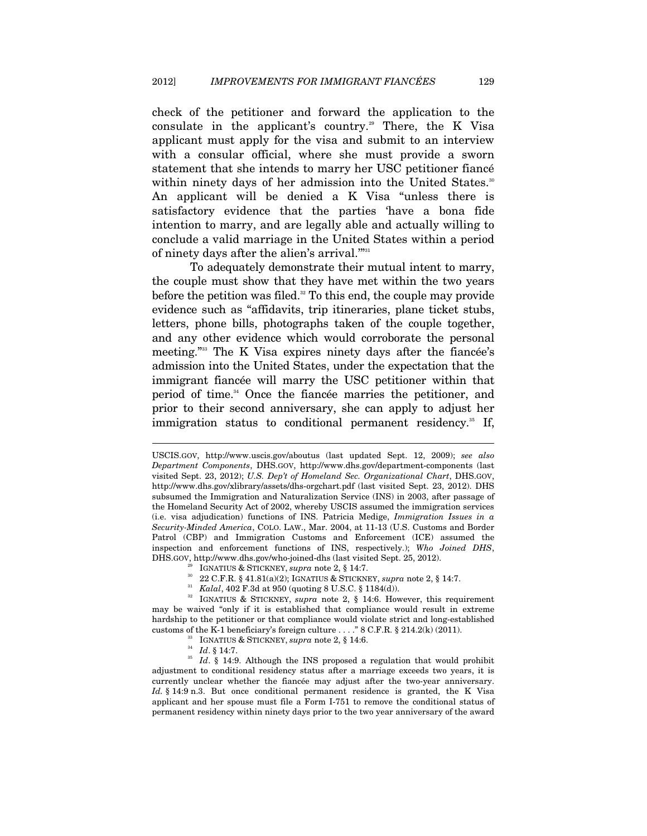check of the petitioner and forward the application to the consulate in the applicant's country.<sup>29</sup> There, the K Visa applicant must apply for the visa and submit to an interview with a consular official, where she must provide a sworn statement that she intends to marry her USC petitioner fiancé within ninety days of her admission into the United States.<sup>30</sup> An applicant will be denied a K Visa "unless there is satisfactory evidence that the parties 'have a bona fide intention to marry, and are legally able and actually willing to conclude a valid marriage in the United States within a period of ninety days after the alien's arrival."<sup>331</sup>

To adequately demonstrate their mutual intent to marry, the couple must show that they have met within the two years before the petition was filed.<sup>32</sup> To this end, the couple may provide evidence such as "affidavits, trip itineraries, plane ticket stubs, letters, phone bills, photographs taken of the couple together, and any other evidence which would corroborate the personal meeting."33 The K Visa expires ninety days after the fiancée's admission into the United States, under the expectation that the immigrant fiancée will marry the USC petitioner within that period of time.<sup>34</sup> Once the fiancée marries the petitioner, and prior to their second anniversary, she can apply to adjust her immigration status to conditional permanent residency.<sup>35</sup> If,

- 
- 

USCIS.GOV, http://www.uscis.gov/aboutus (last updated Sept. 12, 2009); *see also Department Components*, DHS.GOV, http://www.dhs.gov/department-components (last visited Sept. 23, 2012); *U.S. Dep't of Homeland Sec. Organizational Chart*, DHS.GOV, http://www.dhs.gov/xlibrary/assets/dhs-orgchart.pdf (last visited Sept. 23, 2012). DHS subsumed the Immigration and Naturalization Service (INS) in 2003, after passage of the Homeland Security Act of 2002, whereby USCIS assumed the immigration services (i.e. visa adjudication) functions of INS. Patricia Medige, *Immigration Issues in a Security-Minded America*, COLO. LAW., Mar. 2004, at 11-13 (U.S. Customs and Border Patrol (CBP) and Immigration Customs and Enforcement (ICE) assumed the inspection and enforcement functions of INS, respectively.); *Who Joined DHS*,

<sup>&</sup>lt;sup>29</sup> IGNATIUS & STICKNEY, *supra* note 2, § 14:7.<br><sup>30</sup> 22 C.F.R. § 41.81(a)(2); IGNATIUS & STICKNEY, *supra* note 2, § 14:7.<br><sup>31</sup> *Kalal*, 402 F.3d at 950 (quoting 8 U.S.C. § 1184(d)).<br><sup>32</sup> IGNATIUS & STICKNEY, *supra* no may be waived "only if it is established that compliance would result in extreme hardship to the petitioner or that compliance would violate strict and long-established % customs of the K-1 beneficiary's foreign culture . . . . " 8 C.F.R. § 214.2(k) (2011).<br><sup>33</sup> IGNATIUS & STICKNEY, *supra* note 2, § 14:6.<br><sup>34</sup> Id. § 14:7.<br><sup>35</sup> Id. § 14:9. Although the INS proposed a regulation that woul

adjustment to conditional residency status after a marriage exceeds two years, it is currently unclear whether the fiancée may adjust after the two-year anniversary. *Id.* § 14:9 n.3. But once conditional permanent residence is granted, the K Visa applicant and her spouse must file a Form I-751 to remove the conditional status of permanent residency within ninety days prior to the two year anniversary of the award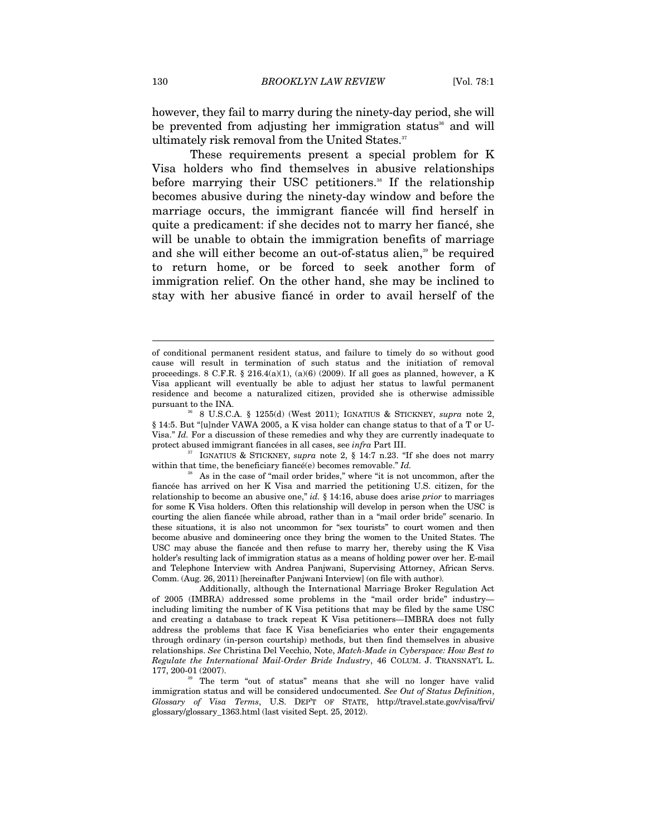however, they fail to marry during the ninety-day period, she will be prevented from adjusting her immigration status<sup>36</sup> and will ultimately risk removal from the United States.<sup>37</sup>

These requirements present a special problem for K Visa holders who find themselves in abusive relationships before marrying their USC petitioners.<sup>38</sup> If the relationship becomes abusive during the ninety-day window and before the marriage occurs, the immigrant fiancée will find herself in quite a predicament: if she decides not to marry her fiancé, she will be unable to obtain the immigration benefits of marriage and she will either become an out-of-status alien,<sup>39</sup> be required to return home, or be forced to seek another form of immigration relief. On the other hand, she may be inclined to stay with her abusive fiancé in order to avail herself of the

protect abused immigrant fiancées in all cases, see *infra* Part III.<br><sup>37</sup> IGNATIUS & STICKNEY, *supra* note 2, § 14:7 n.23. "If she does not marry within that time, the beneficiary fiancé(e) becomes removable." *Id*.

of conditional permanent resident status, and failure to timely do so without good cause will result in termination of such status and the initiation of removal proceedings. 8 C.F.R. § 216.4(a)(1), (a)(6) (2009). If all goes as planned, however, a K Visa applicant will eventually be able to adjust her status to lawful permanent residence and become a naturalized citizen, provided she is otherwise admissible

pursuant to the INA.<br><sup>36</sup> 8 U.S.C.A. § 1255(d) (West 2011); IGNATIUS & STICKNEY, *supra* note 2, § 14:5. But "[u]nder VAWA 2005, a K visa holder can change status to that of a T or U-Visa." *Id.* For a discussion of these remedies and why they are currently inadequate to

<sup>&</sup>lt;sup>38</sup> As in the case of "mail order brides," where "it is not uncommon, after the fiancée has arrived on her K Visa and married the petitioning U.S. citizen, for the relationship to become an abusive one," *id.* § 14:16, abuse does arise *prior* to marriages for some K Visa holders. Often this relationship will develop in person when the USC is courting the alien fiancée while abroad, rather than in a "mail order bride" scenario. In these situations, it is also not uncommon for "sex tourists" to court women and then become abusive and domineering once they bring the women to the United States. The USC may abuse the fiancée and then refuse to marry her, thereby using the K Visa holder's resulting lack of immigration status as a means of holding power over her. E-mail and Telephone Interview with Andrea Panjwani, Supervising Attorney, African Servs. Comm. (Aug. 26, 2011) [hereinafter Panjwani Interview] (on file with author).

Additionally, although the International Marriage Broker Regulation Act of 2005 (IMBRA) addressed some problems in the "mail order bride" industry including limiting the number of K Visa petitions that may be filed by the same USC and creating a database to track repeat K Visa petitioners—IMBRA does not fully address the problems that face K Visa beneficiaries who enter their engagements through ordinary (in-person courtship) methods, but then find themselves in abusive relationships. *See* Christina Del Vecchio, Note, *Match-Made in Cyberspace: How Best to Regulate the International Mail-Order Bride Industry*, 46 COLUM. J. TRANSNAT'L L. 177, 200-01 (2007).<br><sup>39</sup> The term "out of status" means that she will no longer have valid

immigration status and will be considered undocumented. *See Out of Status Definition*, *Glossary of Visa Terms*, U.S. DEP'T OF STATE, http://travel.state.gov/visa/frvi/ glossary/glossary\_1363.html (last visited Sept. 25, 2012).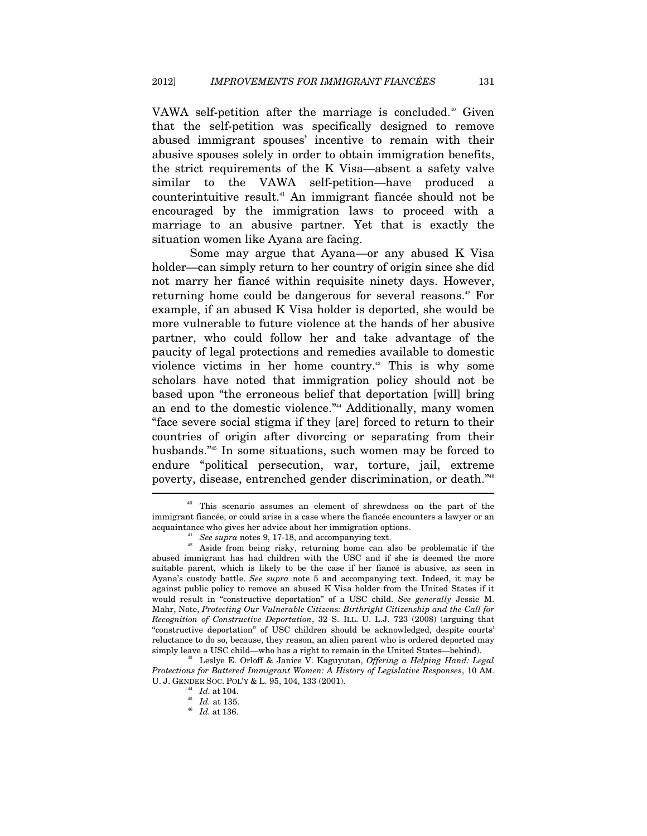VAWA self-petition after the marriage is concluded.<sup>40</sup> Given that the self-petition was specifically designed to remove abused immigrant spouses' incentive to remain with their abusive spouses solely in order to obtain immigration benefits, the strict requirements of the K Visa—absent a safety valve similar to the VAWA self-petition—have produced a counterintuitive result.41 An immigrant fiancée should not be encouraged by the immigration laws to proceed with a marriage to an abusive partner. Yet that is exactly the situation women like Ayana are facing.

Some may argue that Ayana—or any abused K Visa holder—can simply return to her country of origin since she did not marry her fiancé within requisite ninety days. However, returning home could be dangerous for several reasons.<sup>42</sup> For example, if an abused K Visa holder is deported, she would be more vulnerable to future violence at the hands of her abusive partner, who could follow her and take advantage of the paucity of legal protections and remedies available to domestic violence victims in her home country.43 This is why some scholars have noted that immigration policy should not be based upon "the erroneous belief that deportation [will] bring an end to the domestic violence."44 Additionally, many women "face severe social stigma if they [are] forced to return to their countries of origin after divorcing or separating from their husbands."<sup>45</sup> In some situations, such women may be forced to endure "political persecution, war, torture, jail, extreme poverty, disease, entrenched gender discrimination, or death."46 ŗ

<sup>&</sup>lt;sup>40</sup> This scenario assumes an element of shrewdness on the part of the immigrant fiancée, or could arise in a case where the fiancée encounters a lawyer or an acquaintance who gives her advice about her immigration options.

<sup>&</sup>lt;sup>41</sup> See supra notes 9, 17-18, and accompanying text.  $A^{22}$  Aside from being risky, returning home can also be problematic if the abused immigrant has had children with the USC and if she is deemed the more suitable parent, which is likely to be the case if her fiancé is abusive, as seen in Ayana's custody battle. *See supra* note 5 and accompanying text. Indeed, it may be against public policy to remove an abused K Visa holder from the United States if it would result in "constructive deportation" of a USC child. *See generally* Jessie M. Mahr, Note, *Protecting Our Vulnerable Citizens: Birthright Citizenship and the Call for Recognition of Constructive Deportation*, 32 S. ILL. U. L.J. 723 (2008) (arguing that "constructive deportation" of USC children should be acknowledged, despite courts' reluctance to do so, because, they reason, an alien parent who is ordered deported may simply leave a USC child—who has a right to remain in the United States—behind).

<sup>43</sup> Leslye E. Orloff & Janice V. Kaguyutan, *Offering a Helping Hand: Legal Protections for Battered Immigrant Women: A History of Legislative Responses*, 10 AM. U. J. GENDER SOC. POL'Y & L. 95, 104, 133 (2001). 44 *Id.* at 104.

<sup>45</sup> *Id.* at 135. 46 *Id.* at 136.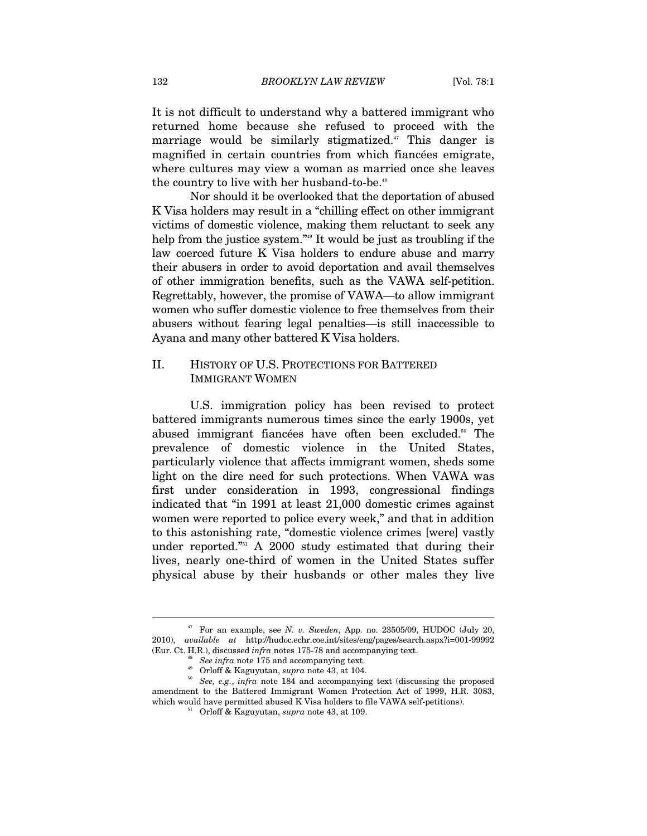It is not difficult to understand why a battered immigrant who returned home because she refused to proceed with the marriage would be similarly stigmatized.<sup>47</sup> This danger is magnified in certain countries from which fiancées emigrate, where cultures may view a woman as married once she leaves the country to live with her husband-to-be.<sup>48</sup>

Nor should it be overlooked that the deportation of abused K Visa holders may result in a "chilling effect on other immigrant victims of domestic violence, making them reluctant to seek any help from the justice system."49 It would be just as troubling if the law coerced future K Visa holders to endure abuse and marry their abusers in order to avoid deportation and avail themselves of other immigration benefits, such as the VAWA self-petition. Regrettably, however, the promise of VAWA—to allow immigrant women who suffer domestic violence to free themselves from their abusers without fearing legal penalties—is still inaccessible to Ayana and many other battered K Visa holders.

### II. HISTORY OF U.S. PROTECTIONS FOR BATTERED IMMIGRANT WOMEN

U.S. immigration policy has been revised to protect battered immigrants numerous times since the early 1900s, yet abused immigrant fiancées have often been excluded.<sup>50</sup> The prevalence of domestic violence in the United States, particularly violence that affects immigrant women, sheds some light on the dire need for such protections. When VAWA was first under consideration in 1993, congressional findings indicated that "in 1991 at least 21,000 domestic crimes against women were reported to police every week," and that in addition to this astonishing rate, "domestic violence crimes [were] vastly under reported."<sup>51</sup> A 2000 study estimated that during their lives, nearly one-third of women in the United States suffer physical abuse by their husbands or other males they live

 $47$  For an example, see *N. v. Sweden*, App. no. 23505/09, HUDOC (July 20, 2010), *available at* http://hudoc.echr.coe.int/sites/eng/pages/search.aspx?i=001-99992 (Eur. Ct. H.R.), discussed *infra* notes 175-78 and accompanying text.

<sup>&</sup>lt;sup>48</sup> See infra note 175 and accompanying text.<br><sup>49</sup> Orloff & Kaguyutan, *supra* note 43, at 104.<br><sup>50</sup> See, e.g., infra note 184 and accompanying text (discussing the proposed amendment to the Battered Immigrant Women Protection Act of 1999, H.R. 3083, which would have permitted abused K Visa holders to file VAWA self-petitions). 51 Orloff & Kaguyutan, *supra* note 43, at 109.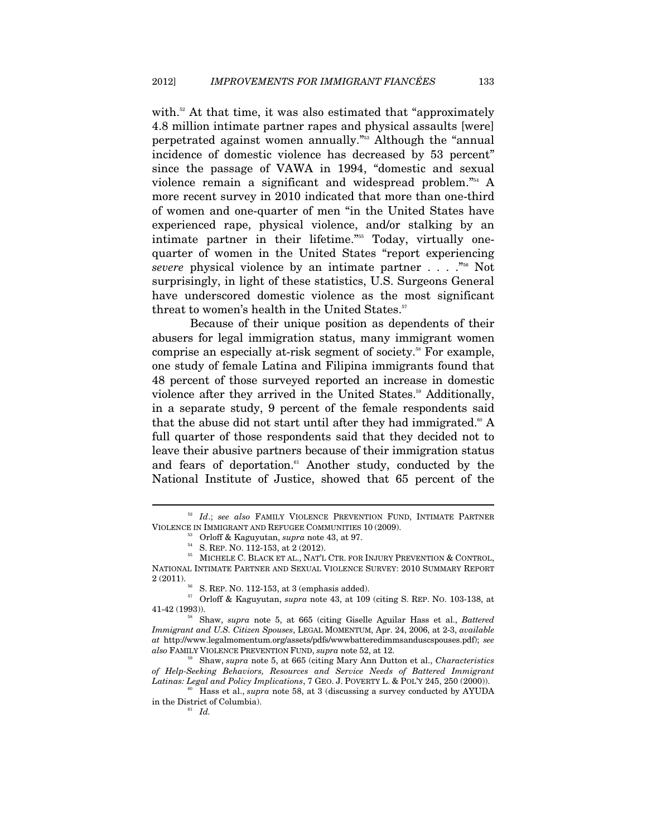with.<sup>52</sup> At that time, it was also estimated that "approximately 4.8 million intimate partner rapes and physical assaults [were] perpetrated against women annually."53 Although the "annual incidence of domestic violence has decreased by 53 percent" since the passage of VAWA in 1994, "domestic and sexual violence remain a significant and widespread problem."54 A more recent survey in 2010 indicated that more than one-third of women and one-quarter of men "in the United States have experienced rape, physical violence, and/or stalking by an intimate partner in their lifetime."<sup>555</sup> Today, virtually onequarter of women in the United States "report experiencing *severe* physical violence by an intimate partner . . . ."56 Not surprisingly, in light of these statistics, U.S. Surgeons General have underscored domestic violence as the most significant threat to women's health in the United States.<sup>57</sup>

Because of their unique position as dependents of their abusers for legal immigration status, many immigrant women comprise an especially at-risk segment of society.<sup>58</sup> For example, one study of female Latina and Filipina immigrants found that 48 percent of those surveyed reported an increase in domestic violence after they arrived in the United States.<sup>59</sup> Additionally, in a separate study, 9 percent of the female respondents said that the abuse did not start until after they had immigrated.<sup>60</sup> A full quarter of those respondents said that they decided not to leave their abusive partners because of their immigration status and fears of deportation. $61$  Another study, conducted by the National Institute of Justice, showed that 65 percent of the

 $$^{52}$   $Id.;$   $see$   $\; also$  FAMILY VIOLENCE PREVENTION FUND, INTIMATE PARTNER VIOLENCE IN IMMIGRANT AND REFUGEE COMMUNITIES 10 (2009).

 $\,$ <sup>53</sup> Orloff & Kaguyutan, *supra* note 43, at 97. <br><sup>54</sup> S. REP. NO. 112-153, at 2 (2012).  $\,$  55 MICHELE C. BLACK ET AL., NAT'L CTR. FOR INJURY PREVENTION & CONTROL, NATIONAL INTIMATE PARTNER AND SEXUAL VIOLENCE SURVEY: 2010 SUMMARY REPORT 2 (2011).

<sup>&</sup>lt;sup>56</sup> S. REP. NO. 112-153, at 3 (emphasis added).  $57$  Orloff & Kaguyutan, *supra* note 43, at 109 (citing S. REP. NO. 103-138, at 41-42 (1993)). 58 Shaw, *supra* note 5, at 665 (citing Giselle Aguilar Hass et al., *Battered* 

*Immigrant and U.S. Citizen Spouses*, LEGAL MOMENTUM, Apr. 24, 2006, at 2-3, *available at* http://www.legalmomentum.org/assets/pdfs/wwwbatteredimmsanduscspouses.pdf); *see also* FAMILY VIOLENCE PREVENTION FUND, *supra* note 52, at 12.

<sup>59</sup> Shaw, *supra* note 5, at 665 (citing Mary Ann Dutton et al., *Characteristics of Help-Seeking Behaviors, Resources and Service Needs of Battered Immigrant Latinas: Legal and Policy Implications, 7 GEO. J. POVERTY L. & POL'Y 245, 250 (2000)).* 

*Hass et al., <i>supra* note 58, at 3 (discussing a survey conducted by AYUDA). in the District of Columbia). 61 *Id.*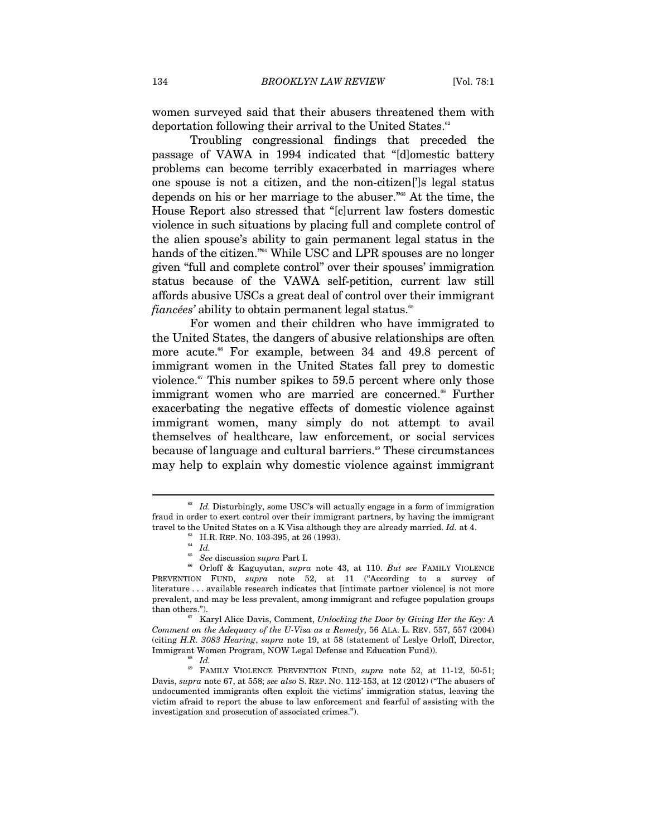women surveyed said that their abusers threatened them with deportation following their arrival to the United States.<sup>62</sup>

Troubling congressional findings that preceded the passage of VAWA in 1994 indicated that "[d]omestic battery problems can become terribly exacerbated in marriages where one spouse is not a citizen, and the non-citizen[']s legal status depends on his or her marriage to the abuser."63 At the time, the House Report also stressed that "[c]urrent law fosters domestic violence in such situations by placing full and complete control of the alien spouse's ability to gain permanent legal status in the hands of the citizen."<sup>64</sup> While USC and LPR spouses are no longer given "full and complete control" over their spouses' immigration status because of the VAWA self-petition, current law still affords abusive USCs a great deal of control over their immigrant *fiancées'* ability to obtain permanent legal status.<sup>65</sup>

For women and their children who have immigrated to the United States, the dangers of abusive relationships are often more acute.<sup>66</sup> For example, between 34 and 49.8 percent of immigrant women in the United States fall prey to domestic violence. $\alpha$ <sup>67</sup> This number spikes to 59.5 percent where only those immigrant women who are married are concerned.<sup>68</sup> Further exacerbating the negative effects of domestic violence against immigrant women, many simply do not attempt to avail themselves of healthcare, law enforcement, or social services because of language and cultural barriers.<sup>®</sup> These circumstances may help to explain why domestic violence against immigrant

 $^{62}$   $\,$   $Id.$  Disturbingly, some USC's will actually engage in a form of immigration fraud in order to exert control over their immigrant partners, by having the immigrant travel to the United States on a K Visa although they are already married. Id. at 4. <sub>63</sub> Level States on a K Visa although the U.R. REP. No. 103-395, at 26 (1993).<br><sup>64</sup> *Id. S<sub>20</sub>* <sup>1</sup>

<sup>65</sup> *See* discussion *supra* Part I. 66 Orloff & Kaguyutan, *supra* note 43, at 110. *But see* FAMILY VIOLENCE PREVENTION FUND, *supra* note 52, at 11 ("According to a survey of literature . . . available research indicates that [intimate partner violence] is not more prevalent, and may be less prevalent, among immigrant and refugee population groups

Karyl Alice Davis, Comment, *Unlocking the Door by Giving Her the Key: A Comment on the Adequacy of the U-Visa as a Remedy*, 56 ALA. L. REV. 557, 557 (2004) (citing *H.R. 3083 Hearing*, *supra* note 19, at 58 (statement of Leslye Orloff, Director, Immigrant Women Program, NOW Legal Defense and Education Fund)). 68 *Id.*

<sup>69</sup> FAMILY VIOLENCE PREVENTION FUND, *supra* note 52, at 11-12, 50-51; Davis, *supra* note 67, at 558; *see also* S. REP. NO. 112-153, at 12 (2012) ("The abusers of undocumented immigrants often exploit the victims' immigration status, leaving the victim afraid to report the abuse to law enforcement and fearful of assisting with the investigation and prosecution of associated crimes.").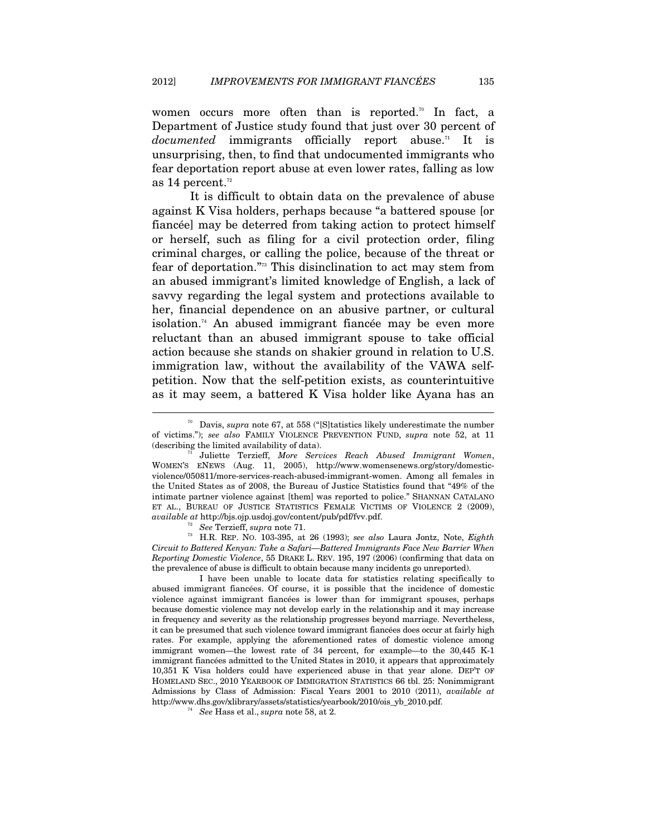women occurs more often than is reported.<sup>70</sup> In fact, a Department of Justice study found that just over 30 percent of *documented* immigrants officially report abuse.<sup>71</sup> It is unsurprising, then, to find that undocumented immigrants who fear deportation report abuse at even lower rates, falling as low as 14 percent. $12$ 

It is difficult to obtain data on the prevalence of abuse against K Visa holders, perhaps because "a battered spouse [or fiancée] may be deterred from taking action to protect himself or herself, such as filing for a civil protection order, filing criminal charges, or calling the police, because of the threat or fear of deportation."73 This disinclination to act may stem from an abused immigrant's limited knowledge of English, a lack of savvy regarding the legal system and protections available to her, financial dependence on an abusive partner, or cultural isolation.74 An abused immigrant fiancée may be even more reluctant than an abused immigrant spouse to take official action because she stands on shakier ground in relation to U.S. immigration law, without the availability of the VAWA selfpetition. Now that the self-petition exists, as counterintuitive as it may seem, a battered K Visa holder like Ayana has an

 $\overline{a}$ 

*Circuit to Battered Kenyan: Take a Safari—Battered Immigrants Face New Barrier When Reporting Domestic Violence*, 55 DRAKE L. REV. 195, 197 (2006) (confirming that data on the prevalence of abuse is difficult to obtain because many incidents go unreported).

I have been unable to locate data for statistics relating specifically to abused immigrant fiancées. Of course, it is possible that the incidence of domestic violence against immigrant fiancées is lower than for immigrant spouses, perhaps because domestic violence may not develop early in the relationship and it may increase in frequency and severity as the relationship progresses beyond marriage. Nevertheless, it can be presumed that such violence toward immigrant fiancées does occur at fairly high rates. For example, applying the aforementioned rates of domestic violence among immigrant women—the lowest rate of 34 percent, for example—to the 30,445 K-1 immigrant fiancées admitted to the United States in 2010, it appears that approximately 10,351 K Visa holders could have experienced abuse in that year alone. DEP'T OF HOMELAND SEC., 2010 YEARBOOK OF IMMIGRATION STATISTICS 66 tbl. 25: Nonimmigrant Admissions by Class of Admission: Fiscal Years 2001 to 2010 (2011), *available at* http://www.dhs.gov/xlibrary/assets/statistics/yearbook/2010/ois\_yb\_2010.pdf. 74 *See* Hass et al., *supra* note 58, at 2.

<sup>70</sup> Davis, *supra* note 67, at 558 ("[S]tatistics likely underestimate the number of victims."); *see also* FAMILY VIOLENCE PREVENTION FUND, *supra* note 52, at 11 (describing the limited availability of data). 71 Juliette Terzieff, *More Services Reach Abused Immigrant Women*,

WOMEN'S ENEWS (Aug. 11, 2005), http://www.womensenews.org/story/domesticviolence/050811/more-services-reach-abused-immigrant-women. Among all females in the United States as of 2008, the Bureau of Justice Statistics found that "49% of the intimate partner violence against [them] was reported to police." SHANNAN CATALANO ET AL., BUREAU OF JUSTICE STATISTICS FEMALE VICTIMS OF VIOLENCE 2 (2009), *available at* http://bjs.ojp.usdoj.gov/content/pub/pdf/fvv.pdf. 72 *See* Terzieff, *supra* note 71. 73 H.R. REP. NO. 103-395, at 26 (1993); *see also* Laura Jontz, Note, *Eighth*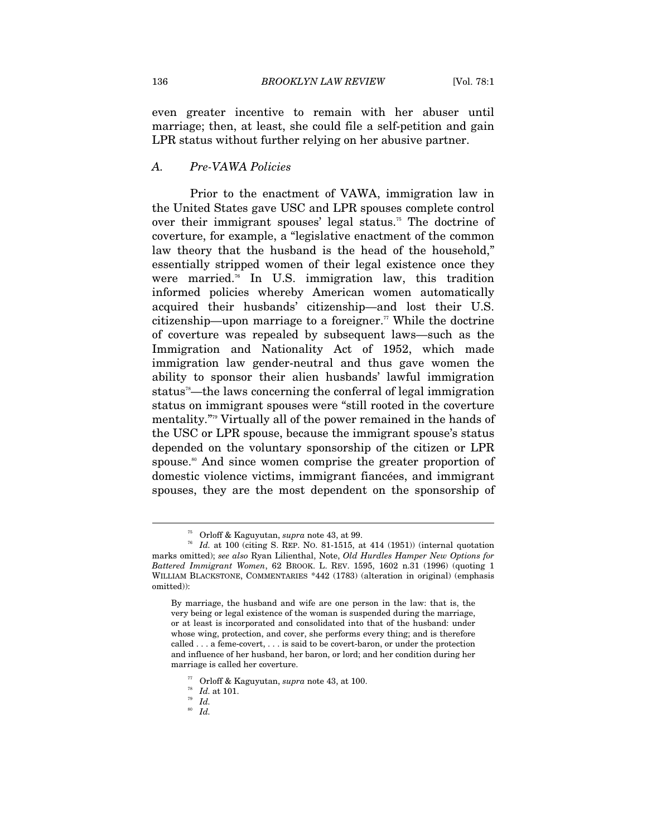even greater incentive to remain with her abuser until marriage; then, at least, she could file a self-petition and gain LPR status without further relying on her abusive partner.

#### *A. Pre-VAWA Policies*

Prior to the enactment of VAWA, immigration law in the United States gave USC and LPR spouses complete control over their immigrant spouses' legal status.<sup>75</sup> The doctrine of coverture, for example, a "legislative enactment of the common law theory that the husband is the head of the household," essentially stripped women of their legal existence once they were married.<sup>76</sup> In U.S. immigration law, this tradition informed policies whereby American women automatically acquired their husbands' citizenship—and lost their U.S. citizenship—upon marriage to a foreigner.<sup> $\pi$ </sup> While the doctrine of coverture was repealed by subsequent laws—such as the Immigration and Nationality Act of 1952, which made immigration law gender-neutral and thus gave women the ability to sponsor their alien husbands' lawful immigration status<sup>78</sup>—the laws concerning the conferral of legal immigration status on immigrant spouses were "still rooted in the coverture mentality."79 Virtually all of the power remained in the hands of the USC or LPR spouse, because the immigrant spouse's status depended on the voluntary sponsorship of the citizen or LPR spouse.<sup>80</sup> And since women comprise the greater proportion of domestic violence victims, immigrant fiancées, and immigrant spouses, they are the most dependent on the sponsorship of

 $\overline{a}$ 

<sup>80</sup> *Id.*

 $^{75}$  Orloff & Kaguyutan, *supra* note 43, at 99.  $1d$ . at 100 (citing S. REP. No. 81-1515, at 414 (1951)) (internal quotation marks omitted); *see also* Ryan Lilienthal, Note, *Old Hurdles Hamper New Options for Battered Immigrant Women*, 62 BROOK. L. REV. 1595, 1602 n.31 (1996) (quoting 1 WILLIAM BLACKSTONE, COMMENTARIES \*442 (1783) (alteration in original) (emphasis omitted)):

By marriage, the husband and wife are one person in the law: that is, the very being or legal existence of the woman is suspended during the marriage, or at least is incorporated and consolidated into that of the husband: under whose wing, protection, and cover, she performs every thing; and is therefore called . . . a feme-covert, . . . is said to be covert-baron, or under the protection and influence of her husband, her baron, or lord; and her condition during her marriage is called her coverture.

<sup>77</sup> Orloff & Kaguyutan, *supra* note 43, at 100. 78 *Id.* at 101. 79 *Id.*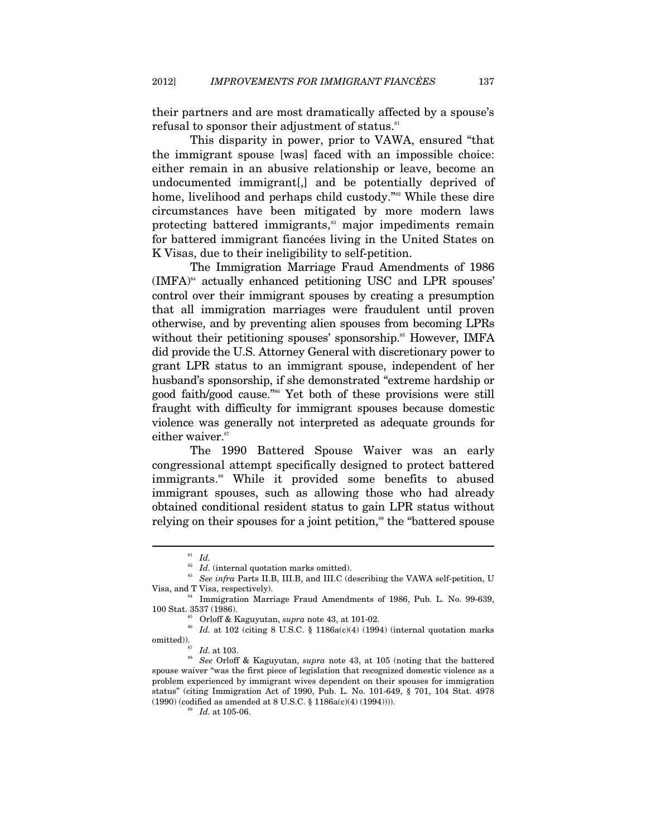their partners and are most dramatically affected by a spouse's refusal to sponsor their adjustment of status.<sup>81</sup>

This disparity in power, prior to VAWA, ensured "that the immigrant spouse [was] faced with an impossible choice: either remain in an abusive relationship or leave, become an undocumented immigrant[,] and be potentially deprived of home, livelihood and perhaps child custody."<sup>82</sup> While these dire circumstances have been mitigated by more modern laws protecting battered immigrants,<sup>83</sup> major impediments remain for battered immigrant fiancées living in the United States on K Visas, due to their ineligibility to self-petition.

The Immigration Marriage Fraud Amendments of 1986  $(IMFA)^{84}$  actually enhanced petitioning USC and LPR spouses' control over their immigrant spouses by creating a presumption that all immigration marriages were fraudulent until proven otherwise, and by preventing alien spouses from becoming LPRs without their petitioning spouses' sponsorship.<sup>85</sup> However, IMFA did provide the U.S. Attorney General with discretionary power to grant LPR status to an immigrant spouse, independent of her husband's sponsorship, if she demonstrated "extreme hardship or good faith/good cause."<sup>86</sup> Yet both of these provisions were still fraught with difficulty for immigrant spouses because domestic violence was generally not interpreted as adequate grounds for either waiver.<sup>87</sup>

The 1990 Battered Spouse Waiver was an early congressional attempt specifically designed to protect battered immigrants.<sup>88</sup> While it provided some benefits to abused immigrant spouses, such as allowing those who had already obtained conditional resident status to gain LPR status without relying on their spouses for a joint petition,<sup>89</sup> the "battered spouse"

 $\stackrel{\text{81}}{=}$  *Id.* (internal quotation marks omitted).<br>  $\stackrel{\text{82}}{=}$  *Id.* (internal quotation marks omitted). 83<br>*See infra* Parts II.B, III.B, and III.C (describing the VAWA self-petition, U<br>Visa, and T Visa, respectively).

<sup>&</sup>lt;sup>84</sup> Immigration Marriage Fraud Amendments of 1986, Pub. L. No. 99-639,

<sup>100</sup> Stat. 3537 (1986).<br><sup>85</sup> Orloff & Kaguyutan, *supra* note 43, at 101-02.<br><sup>86</sup> *Id.* at 102 (citing 8 U.S.C. § 1186a(c)(4) (1994) (internal quotation marks omitted)).<br>876 1109

<sup>&</sup>lt;sup>88</sup> See Orloff & Kaguyutan, *supra* note 43, at 105 (noting that the battered spouse waiver "was the first piece of legislation that recognized domestic violence as a problem experienced by immigrant wives dependent on their spouses for immigration status" (citing Immigration Act of 1990, Pub. L. No. 101-649, § 701, 104 Stat. 4978 (1990) (codified as amended at 8 U.S.C. § 1186a(c)(4) (1994)))).  $^{89}$   $Id.$  at 105-06.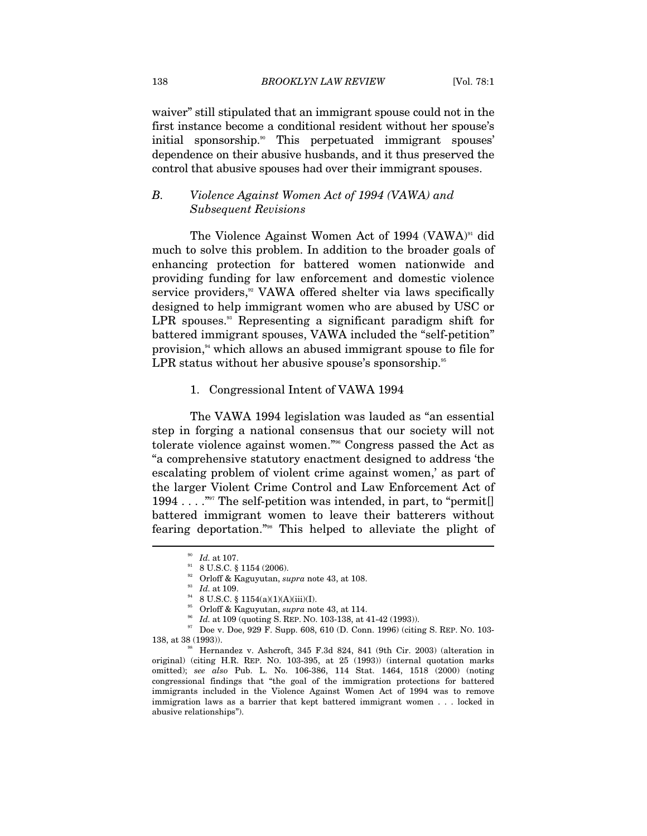waiver" still stipulated that an immigrant spouse could not in the first instance become a conditional resident without her spouse's initial sponsorship.<sup>90</sup> This perpetuated immigrant spouses' dependence on their abusive husbands, and it thus preserved the control that abusive spouses had over their immigrant spouses.

#### *B. Violence Against Women Act of 1994 (VAWA) and Subsequent Revisions*

The Violence Against Women Act of 1994 (VAWA)<sup>91</sup> did much to solve this problem. In addition to the broader goals of enhancing protection for battered women nationwide and providing funding for law enforcement and domestic violence service providers,<sup>32</sup> VAWA offered shelter via laws specifically designed to help immigrant women who are abused by USC or LPR spouses.<sup>33</sup> Representing a significant paradigm shift for battered immigrant spouses, VAWA included the "self-petition" provision,<sup>94</sup> which allows an abused immigrant spouse to file for LPR status without her abusive spouse's sponsorship.<sup>95</sup>

#### 1. Congressional Intent of VAWA 1994

The VAWA 1994 legislation was lauded as "an essential step in forging a national consensus that our society will not tolerate violence against women."96 Congress passed the Act as "a comprehensive statutory enactment designed to address 'the escalating problem of violent crime against women,' as part of the larger Violent Crime Control and Law Enforcement Act of 1994 . . . . . . . . . The self-petition was intended, in part, to "permit. battered immigrant women to leave their batterers without fearing deportation."98 This helped to alleviate the plight of

 $^{90}_{91}$   $~H\!d.$  at 107.  $\,$  8 U.S.C. § 1154 (2006).

<sup>&</sup>lt;sup>92</sup> Orloff & Kaguyutan, *supra* note 43, at 108.<br><sup>93</sup> *Id.* at 109.<br><sup>94</sup> 8 U.S.C. § 1154(a)(1)(A)(iii)(I).<br><sup>95</sup> Orloff & Kaguyutan, *supra* note 43, at 114.

<sup>&</sup>lt;sup>96</sup> *Id.* at 109 (quoting S. REP. No. 103-138, at 41-42 (1993)). <br><sup>97</sup> Doe v. Doe, 929 F. Supp. 608, 610 (D. Conn. 1996) (citing S. REP. No. 103-138, at 38 (1993)).<br><sup>98</sup> Hernandez v. Ashcroft, 345 F.3d 824, 841 (9th Cir. 2003) (alteration in

original) (citing H.R. REP. NO. 103-395, at 25 (1993)) (internal quotation marks omitted); *see also* Pub. L. No. 106-386, 114 Stat. 1464, 1518 (2000) (noting congressional findings that "the goal of the immigration protections for battered immigrants included in the Violence Against Women Act of 1994 was to remove immigration laws as a barrier that kept battered immigrant women . . . locked in abusive relationships").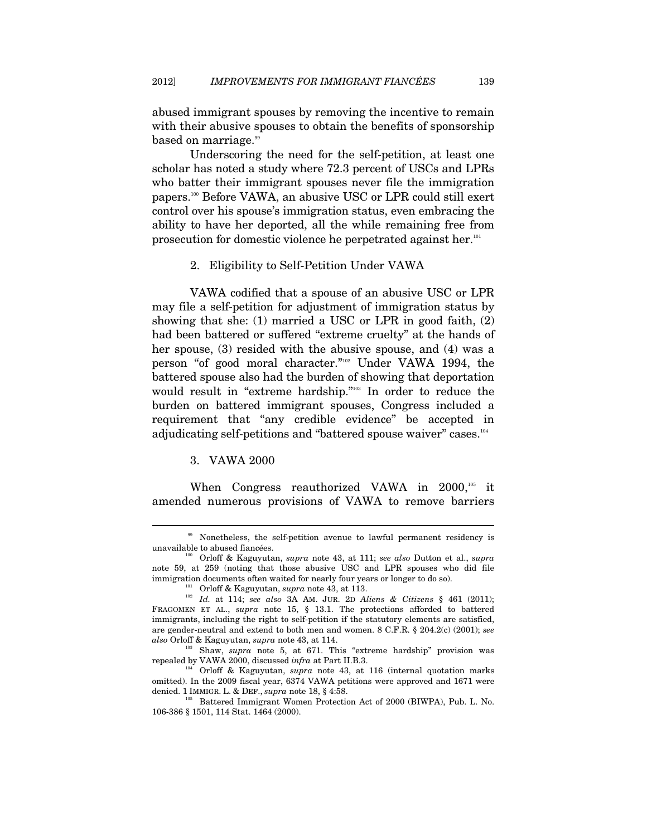abused immigrant spouses by removing the incentive to remain with their abusive spouses to obtain the benefits of sponsorship based on marriage.<sup>99</sup>

Underscoring the need for the self-petition, at least one scholar has noted a study where 72.3 percent of USCs and LPRs who batter their immigrant spouses never file the immigration papers.100 Before VAWA, an abusive USC or LPR could still exert control over his spouse's immigration status, even embracing the ability to have her deported, all the while remaining free from prosecution for domestic violence he perpetrated against her.<sup>101</sup>

#### 2. Eligibility to Self-Petition Under VAWA

VAWA codified that a spouse of an abusive USC or LPR may file a self-petition for adjustment of immigration status by showing that she: (1) married a USC or LPR in good faith, (2) had been battered or suffered "extreme cruelty" at the hands of her spouse, (3) resided with the abusive spouse, and (4) was a person "of good moral character."102 Under VAWA 1994, the battered spouse also had the burden of showing that deportation would result in "extreme hardship."103 In order to reduce the burden on battered immigrant spouses, Congress included a requirement that "any credible evidence" be accepted in adjudicating self-petitions and "battered spouse waiver" cases.<sup>104</sup>

#### 3. VAWA 2000

 $\overline{a}$ 

When Congress reauthorized VAWA in  $2000$ ,<sup>105</sup> it amended numerous provisions of VAWA to remove barriers

<sup>&</sup>lt;sup>99</sup> Nonetheless, the self-petition avenue to lawful permanent residency is unavailable to abused fiancées. 100 Orloff & Kaguyutan, *supra* note 43, at 111; *see also* Dutton et al., *supra* 

note 59, at 259 (noting that those abusive USC and LPR spouses who did file immigration documents often waited for nearly four years or longer to do so).<br><sup>101</sup> Orloff & Kaguyutan, *supra* note 43, at 113.<br>*Id.* at 114; *see also* 3A AM. JUR. 2D *Aliens* & Citizens § 461 (2011);

FRAGOMEN ET AL., *supra* note 15, § 13.1. The protections afforded to battered immigrants, including the right to self-petition if the statutory elements are satisfied, are gender-neutral and extend to both men and women. 8 C.F.R. § 204.2(c) (2001); *see* 

*also* Orloff & Kaguyutan, *supra* note 43, at 114.<br><sup>103</sup> Shaw, *supra* note 5, at 671. This "extreme hardship" provision was repealed by VAWA 2000, discussed *infra* at Part II.B.3.

<sup>&</sup>lt;sup>104</sup> Orloff & Kaguyutan, *supra* note 43, at 116 (internal quotation marks omitted). In the 2009 fiscal year, 6374 VAWA petitions were approved and 1671 were denied. 1 IMMIGR. L. & DEF., *supra* note 18, § 4:58.<br><sup>105</sup> Battered Immigrant Women Protection Act of 2000 (BIWPA), Pub. L. No.

<sup>106-386 § 1501, 114</sup> Stat. 1464 (2000).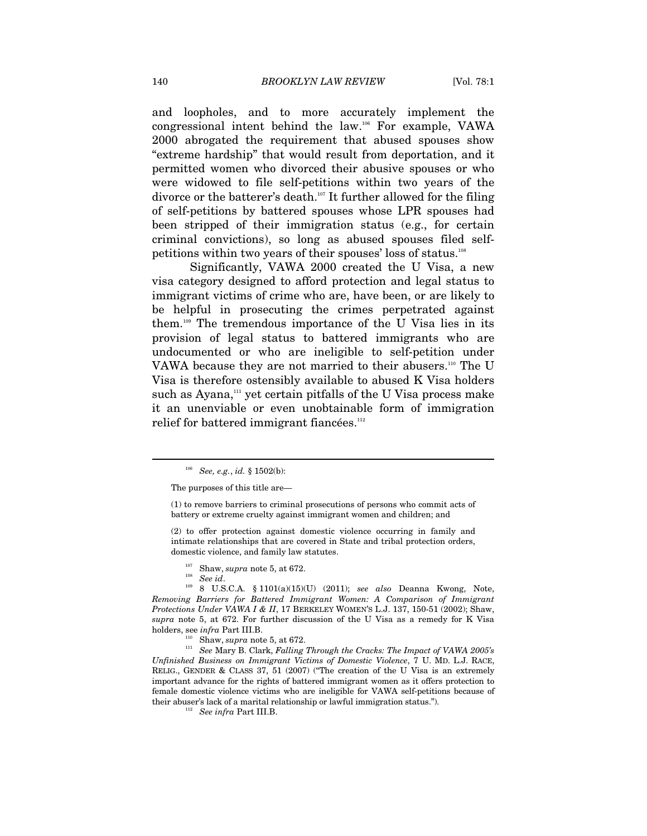and loopholes, and to more accurately implement the congressional intent behind the law.106 For example, VAWA 2000 abrogated the requirement that abused spouses show "extreme hardship" that would result from deportation, and it permitted women who divorced their abusive spouses or who were widowed to file self-petitions within two years of the divorce or the batterer's death.107 It further allowed for the filing of self-petitions by battered spouses whose LPR spouses had been stripped of their immigration status (e.g., for certain criminal convictions), so long as abused spouses filed selfpetitions within two years of their spouses' loss of status.108

Significantly, VAWA 2000 created the U Visa, a new visa category designed to afford protection and legal status to immigrant victims of crime who are, have been, or are likely to be helpful in prosecuting the crimes perpetrated against them.109 The tremendous importance of the U Visa lies in its provision of legal status to battered immigrants who are undocumented or who are ineligible to self-petition under VAWA because they are not married to their abusers.<sup>110</sup> The U Visa is therefore ostensibly available to abused K Visa holders such as Ayana,<sup>111</sup> yet certain pitfalls of the U Visa process make it an unenviable or even unobtainable form of immigration relief for battered immigrant fiancées.<sup>112</sup>

<sup>106</sup> *See, e.g.*, *id.* § 1502(b):

The purposes of this title are—

<sup>(1)</sup> to remove barriers to criminal prosecutions of persons who commit acts of battery or extreme cruelty against immigrant women and children; and

<sup>(2)</sup> to offer protection against domestic violence occurring in family and intimate relationships that are covered in State and tribal protection orders, domestic violence, and family law statutes.

<sup>&</sup>lt;sup>107</sup> Shaw, *supra* note 5, at 672.<br><sup>108</sup> *See id.* 2010. 109 8 U.S.C.A. § 1101(a)(15)(U) (2011); *see also* Deanna Kwong, Note, *Removing Barriers for Battered Immigrant Women: A Comparison of Immigrant Protections Under VAWA I & II*, 17 BERKELEY WOMEN'S L.J. 137, 150-51 (2002); Shaw, *supra* note 5, at 672. For further discussion of the U Visa as a remedy for K Visa holders, see *infra* Part III.B.<br><sup>110</sup> Shaw, *supra* note 5, at 672.<br><sup>111</sup> See Mary B. Clark, *Falling Through the Cracks: The Impact of VAWA 2005's* 

*Unfinished Business on Immigrant Victims of Domestic Violence*, 7 U. MD. L.J. RACE, RELIG., GENDER & CLASS 37, 51 (2007) ("The creation of the U Visa is an extremely important advance for the rights of battered immigrant women as it offers protection to female domestic violence victims who are ineligible for VAWA self-petitions because of their abuser's lack of a marital relationship or lawful immigration status."). See  $infra$  Part III.B.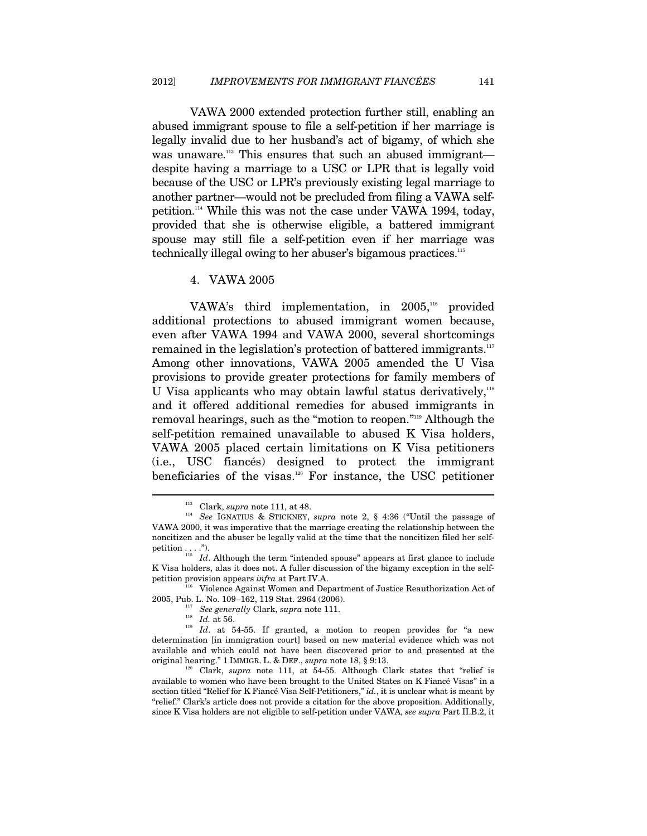VAWA 2000 extended protection further still, enabling an abused immigrant spouse to file a self-petition if her marriage is legally invalid due to her husband's act of bigamy, of which she was unaware.<sup>113</sup> This ensures that such an abused immigrant despite having a marriage to a USC or LPR that is legally void because of the USC or LPR's previously existing legal marriage to another partner—would not be precluded from filing a VAWA selfpetition.114 While this was not the case under VAWA 1994, today, provided that she is otherwise eligible, a battered immigrant spouse may still file a self-petition even if her marriage was technically illegal owing to her abuser's bigamous practices.115

4. VAWA 2005

VAWA's third implementation, in  $2005$ ,<sup>116</sup> provided additional protections to abused immigrant women because, even after VAWA 1994 and VAWA 2000, several shortcomings remained in the legislation's protection of battered immigrants.<sup>117</sup> Among other innovations, VAWA 2005 amended the U Visa provisions to provide greater protections for family members of U Visa applicants who may obtain lawful status derivatively, $118$ and it offered additional remedies for abused immigrants in removal hearings, such as the "motion to reopen."119 Although the self-petition remained unavailable to abused K Visa holders, VAWA 2005 placed certain limitations on K Visa petitioners (i.e., USC fiancés) designed to protect the immigrant beneficiaries of the visas.120 For instance, the USC petitioner

<sup>&</sup>lt;sup>113</sup> Clark, *supra* note 111, at 48.<br><sup>114</sup> See IGNATIUS & STICKNEY, *supra* note 2, § 4:36 ("Until the passage of VAWA 2000, it was imperative that the marriage creating the relationship between the noncitizen and the abuser be legally valid at the time that the noncitizen filed her selfpetition . . . .").<br><sup>115</sup> *Id*. Although the term "intended spouse" appears at first glance to include

K Visa holders, alas it does not. A fuller discussion of the bigamy exception in the selfpetition provision appears *infra* at Part IV.A.<br><sup>116</sup> Violence Against Women and Department of Justice Reauthorization Act of

<sup>2005,</sup> Pub. L. No. 109–162, 119 Stat. 2964 (2006). 117 *See generally* Clark, *supra* note 111.

<sup>&</sup>lt;sup>119</sup> *Id.* at 54-55. If granted, a motion to reopen provides for "a new determination [in immigration court] based on new material evidence which was not available and which could not have been discovered prior to and presented at the original hearing." 1 IMMIGR. L. & DEF., *supra* note 18, § 9:13.<br><sup>120</sup> Clark, *supra* note 111, at 54-55. Although Clark states that "relief is

available to women who have been brought to the United States on K Fiancé Visas" in a section titled "Relief for K Fiancé Visa Self-Petitioners," *id.*, it is unclear what is meant by "relief." Clark's article does not provide a citation for the above proposition. Additionally, since K Visa holders are not eligible to self-petition under VAWA, *see supra* Part II.B.2, it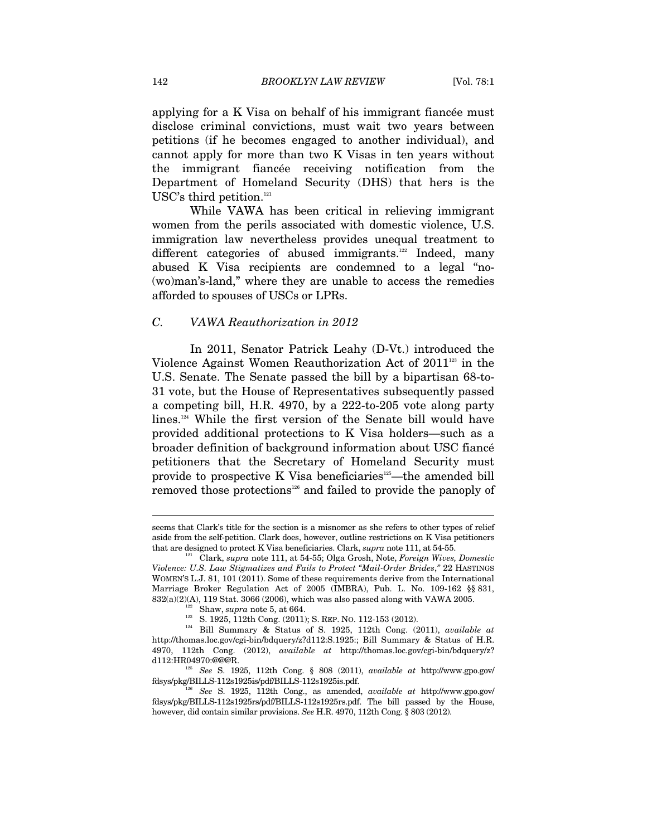applying for a K Visa on behalf of his immigrant fiancée must disclose criminal convictions, must wait two years between petitions (if he becomes engaged to another individual), and cannot apply for more than two K Visas in ten years without the immigrant fiancée receiving notification from the Department of Homeland Security (DHS) that hers is the USC's third petition.<sup>121</sup>

While VAWA has been critical in relieving immigrant women from the perils associated with domestic violence, U.S. immigration law nevertheless provides unequal treatment to different categories of abused immigrants.<sup>122</sup> Indeed, many abused K Visa recipients are condemned to a legal "no- (wo)man's-land," where they are unable to access the remedies afforded to spouses of USCs or LPRs.

#### *C. VAWA Reauthorization in 2012*

In 2011, Senator Patrick Leahy (D-Vt.) introduced the Violence Against Women Reauthorization Act of  $2011<sup>123</sup>$  in the U.S. Senate. The Senate passed the bill by a bipartisan 68-to-31 vote, but the House of Representatives subsequently passed a competing bill, H.R. 4970, by a 222-to-205 vote along party lines.124 While the first version of the Senate bill would have provided additional protections to K Visa holders—such as a broader definition of background information about USC fiancé petitioners that the Secretary of Homeland Security must provide to prospective K Visa beneficiaries<sup>125</sup>—the amended bill removed those protections<sup>126</sup> and failed to provide the panoply of

seems that Clark's title for the section is a misnomer as she refers to other types of relief aside from the self-petition. Clark does, however, outline restrictions on K Visa petitioners that are designed to protect K Visa beneficiaries. Clark, *supra* note 111, at 54-55.<br><sup>121</sup> Clark, *supra* note 111, at 54-55; Olga Grosh, Note, *Foreign Wives, Domestic* 

*Violence: U.S. Law Stigmatizes and Fails to Protect "Mail-Order Brides*,*"* 22 HASTINGS WOMEN'S L.J. 81, 101 (2011). Some of these requirements derive from the International Marriage Broker Regulation Act of 2005 (IMBRA), Pub. L. No. 109-162 §§ 831,  $\begin{array}{lllllllll} 832(a)(2)(A),\ 119\ \text{Stat.}\ 3066\ (2006),\ \text{which was also passed along with VAWA}\ 2005.\\ \text{Show,}\ \textit{supra} \ \text{note}\ 5,\ \text{at}\ 664.\\ \text{${}^{123}$}\quad S.\ 1925,\ 112\text{th Cong.}\ (2011);\ S.\ \text{REF.}\ No.\ 112-153\ (2012).\\ \text{${}^{124}$}\quad \text{Bill Summary}\ \ \&\ \text{Status}\ \text{of}\ \ S.\ \ 1925,\ 112\text{th Cong.}\ (2011$ 

http://thomas.loc.gov/cgi-bin/bdquery/z?d112:S.1925:; Bill Summary & Status of H.R. 4970, 112th Cong. (2012),  $available\ at\ \ http://thomas.loc.gov/cgi-bin/bdquery/z?$ d112:HR04970:@@@R.

<sup>&</sup>lt;sup>125</sup> See S. 1925, 112th Cong. § 808 (2011), *available at http://www.gpo.gov/* fdsys/pkg/BILLS-112s1925is/pdf/BILLS-112s1925is.pdf.

<sup>126</sup> *See* S. 1925, 112th Cong., as amended, *available at* http://www.gpo.gov/ fdsys/pkg/BILLS-112s1925rs/pdf/BILLS-112s1925rs.pdf. The bill passed by the House, however, did contain similar provisions. *See* H.R. 4970, 112th Cong. § 803 (2012).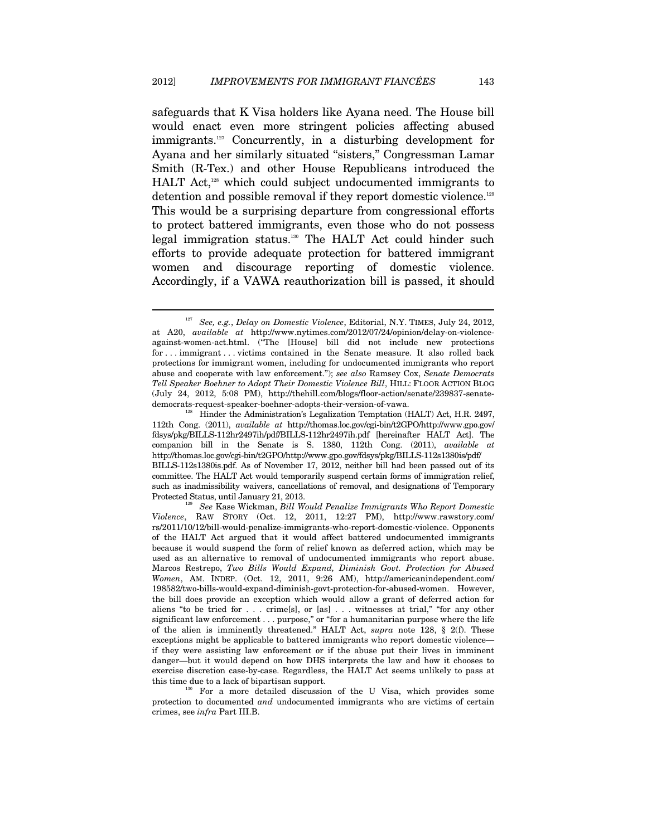safeguards that K Visa holders like Ayana need. The House bill would enact even more stringent policies affecting abused immigrants.<sup>127</sup> Concurrently, in a disturbing development for Ayana and her similarly situated "sisters," Congressman Lamar Smith (R-Tex.) and other House Republicans introduced the HALT Act,<sup>128</sup> which could subject undocumented immigrants to detention and possible removal if they report domestic violence.<sup>129</sup> This would be a surprising departure from congressional efforts to protect battered immigrants, even those who do not possess legal immigration status.130 The HALT Act could hinder such efforts to provide adequate protection for battered immigrant women and discourage reporting of domestic violence. Accordingly, if a VAWA reauthorization bill is passed, it should

<sup>127</sup> *See, e.g.*, *Delay on Domestic Violence*, Editorial, N.Y. TIMES, July 24, 2012, at A20, *available at* http://www.nytimes.com/2012/07/24/opinion/delay-on-violenceagainst-women-act.html. ("The [House] bill did not include new protections for . . . immigrant . . . victims contained in the Senate measure. It also rolled back protections for immigrant women, including for undocumented immigrants who report abuse and cooperate with law enforcement."); *see also* Ramsey Cox, *Senate Democrats Tell Speaker Boehner to Adopt Their Domestic Violence Bill*, HILL: FLOOR ACTION BLOG (July 24, 2012, 5:08 PM), http://thehill.com/blogs/floor-action/senate/239837-senatedemocrats-request-speaker-boehner-adopts-their-version-of-vawa. 128 Hinder the Administration's Legalization Temptation (HALT) Act, H.R. 2497,

<sup>112</sup>th Cong. (2011), *available at* http://thomas.loc.gov/cgi-bin/t2GPO/http://www.gpo.gov/ fdsys/pkg/BILLS-112hr2497ih/pdf/BILLS-112hr2497ih.pdf [hereinafter HALT Act]. The companion bill in the Senate is S. 1380, 112th Cong. (2011), *available at*  http://thomas.loc.gov/cgi-bin/t2GPO/http://www.gpo.gov/fdsys/pkg/BILLS-112s1380is/pdf/ BILLS-112s1380is.pdf. As of November 17, 2012, neither bill had been passed out of its committee. The HALT Act would temporarily suspend certain forms of immigration relief, such as inadmissibility waivers, cancellations of removal, and designations of Temporary Protected Status, until January 21, 2013. 129 *See* Kase Wickman, *Bill Would Penalize Immigrants Who Report Domestic* 

*Violence*, RAW STORY (Oct. 12, 2011, 12:27 PM), http://www.rawstory.com/ rs/2011/10/12/bill-would-penalize-immigrants-who-report-domestic-violence. Opponents of the HALT Act argued that it would affect battered undocumented immigrants because it would suspend the form of relief known as deferred action, which may be used as an alternative to removal of undocumented immigrants who report abuse. Marcos Restrepo, *Two Bills Would Expand, Diminish Govt. Protection for Abused Women*, AM. INDEP. (Oct. 12, 2011, 9:26 AM), http://americanindependent.com/ 198582/two-bills-would-expand-diminish-govt-protection-for-abused-women. However, the bill does provide an exception which would allow a grant of deferred action for aliens "to be tried for . . . crime[s], or [as] . . . witnesses at trial," "for any other significant law enforcement . . . purpose," or "for a humanitarian purpose where the life of the alien is imminently threatened." HALT Act, *supra* note 128, § 2(f). These exceptions might be applicable to battered immigrants who report domestic violence if they were assisting law enforcement or if the abuse put their lives in imminent danger—but it would depend on how DHS interprets the law and how it chooses to exercise discretion case-by-case. Regardless, the HALT Act seems unlikely to pass at

For a more detailed discussion of the U Visa, which provides some protection to documented *and* undocumented immigrants who are victims of certain crimes, see *infra* Part III.B.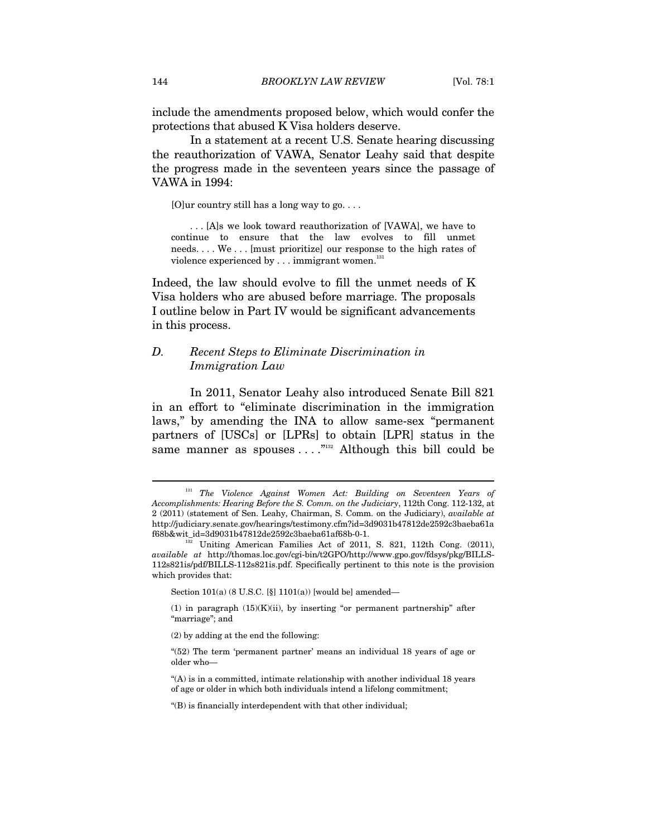include the amendments proposed below, which would confer the protections that abused K Visa holders deserve.

In a statement at a recent U.S. Senate hearing discussing the reauthorization of VAWA, Senator Leahy said that despite the progress made in the seventeen years since the passage of VAWA in 1994:

 $[O]$ ur country still has a long way to go...

. . . [A]s we look toward reauthorization of [VAWA], we have to continue to ensure that the law evolves to fill unmet needs. . . . We . . . [must prioritize] our response to the high rates of violence experienced by  $\dots$  immigrant women.<sup>131</sup>

Indeed, the law should evolve to fill the unmet needs of K Visa holders who are abused before marriage. The proposals I outline below in Part IV would be significant advancements in this process.

#### *D. Recent Steps to Eliminate Discrimination in Immigration Law*

In 2011, Senator Leahy also introduced Senate Bill 821 in an effort to "eliminate discrimination in the immigration laws," by amending the INA to allow same-sex "permanent partners of [USCs] or [LPRs] to obtain [LPR] status in the same manner as spouses  $\dots$ ."<sup>132</sup> Although this bill could be

Section  $101(a)$  (8 U.S.C. [§]  $1101(a)$ ) [would be] amended—

(1) in paragraph  $(15)(K)(ii)$ , by inserting "or permanent partnership" after "marriage"; and

<sup>&</sup>lt;sup>131</sup> The Violence Against Women Act: Building on Seventeen Years of *Accomplishments: Hearing Before the S. Comm. on the Judiciary*, 112th Cong. 112-132, at 2 (2011) (statement of Sen. Leahy, Chairman, S. Comm. on the Judiciary), *available at*  http://judiciary.senate.gov/hearings/testimony.cfm?id=3d9031b47812de2592c3baeba61a f68b&wit\_id=3d9031b47812de2592c3baeba61af68b-0-1. 132 Uniting American Families Act of 2011, S. 821, 112th Cong. (2011),

*available at* http://thomas.loc.gov/cgi-bin/t2GPO/http://www.gpo.gov/fdsys/pkg/BILLS-112s821is/pdf/BILLS-112s821is.pdf. Specifically pertinent to this note is the provision which provides that:

<sup>(2)</sup> by adding at the end the following:

<sup>&</sup>quot;(52) The term 'permanent partner' means an individual 18 years of age or older who—

<sup>&</sup>quot;(A) is in a committed, intimate relationship with another individual 18 years of age or older in which both individuals intend a lifelong commitment;

<sup>&</sup>quot;(B) is financially interdependent with that other individual;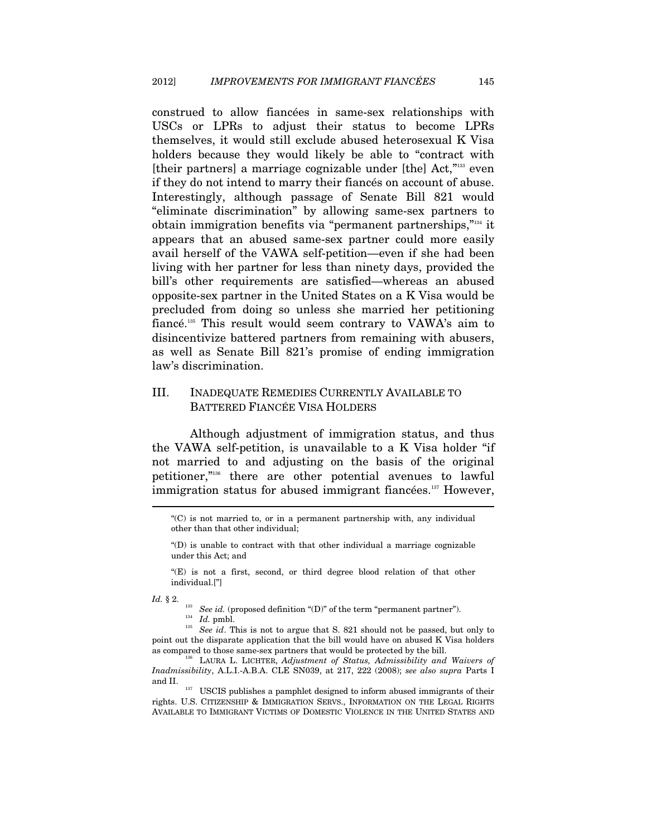construed to allow fiancées in same-sex relationships with USCs or LPRs to adjust their status to become LPRs themselves, it would still exclude abused heterosexual K Visa holders because they would likely be able to "contract with [their partners] a marriage cognizable under [the] Act,"133 even if they do not intend to marry their fiancés on account of abuse. Interestingly, although passage of Senate Bill 821 would "eliminate discrimination" by allowing same-sex partners to obtain immigration benefits via "permanent partnerships,"134 it appears that an abused same-sex partner could more easily avail herself of the VAWA self-petition—even if she had been living with her partner for less than ninety days, provided the bill's other requirements are satisfied—whereas an abused opposite-sex partner in the United States on a K Visa would be precluded from doing so unless she married her petitioning fiancé.135 This result would seem contrary to VAWA's aim to disincentivize battered partners from remaining with abusers, as well as Senate Bill 821's promise of ending immigration law's discrimination.

### III. INADEQUATE REMEDIES CURRENTLY AVAILABLE TO BATTERED FIANCÉE VISA HOLDERS

Although adjustment of immigration status, and thus the VAWA self-petition, is unavailable to a K Visa holder "if not married to and adjusting on the basis of the original petitioner,"136 there are other potential avenues to lawful immigration status for abused immigrant fiancées.<sup>137</sup> However,

<sup>&</sup>quot;(C) is not married to, or in a permanent partnership with, any individual other than that other individual;

<sup>&</sup>quot;(D) is unable to contract with that other individual a marriage cognizable under this Act; and

<sup>&</sup>quot;(E) is not a first, second, or third degree blood relation of that other individual.["]

*Id.* § 2. <sup>133</sup> *See id.* (proposed definition "(D)" of the term "permanent partner"). *Id.* pmbl. *135 See id.* This is not to argue that S. 821 should not be passed, but only to point out the disparate application that the bill would have on abused K Visa holders as compared to those same-sex partners that would be protected by the bill.

<sup>&</sup>lt;sup>136</sup> LAURA L. LICHTER, *Adjustment of Status, Admissibility and Waivers of Inadmissibility*, A.L.I.-A.B.A. CLE SN039, at 217, 222 (2008); *see also supra* Parts I and II.  $$\tt_{137}\tt$  USCIS publishes a pamphlet designed to inform abused immigrants of their

rights. U.S. CITIZENSHIP & IMMIGRATION SERVS., INFORMATION ON THE LEGAL RIGHTS AVAILABLE TO IMMIGRANT VICTIMS OF DOMESTIC VIOLENCE IN THE UNITED STATES AND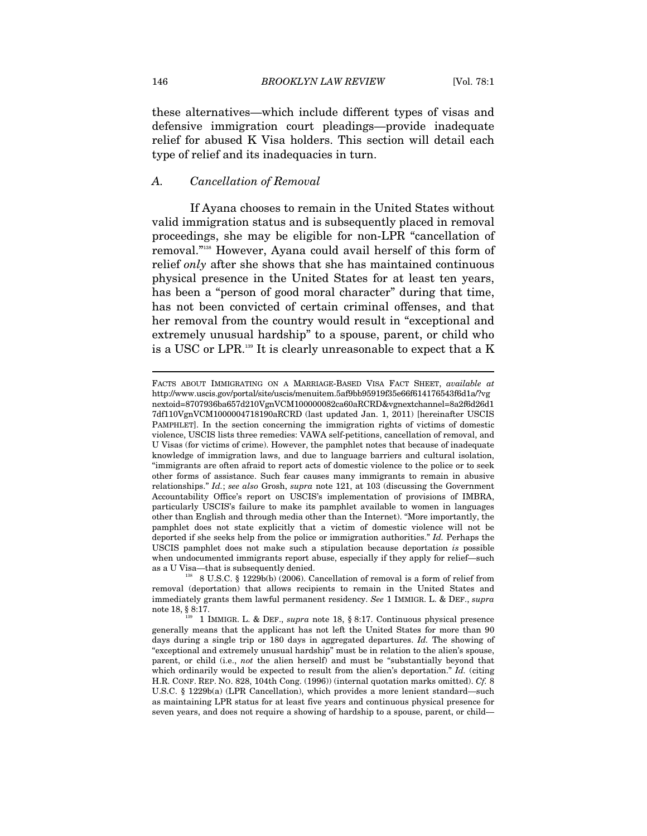these alternatives—which include different types of visas and defensive immigration court pleadings—provide inadequate relief for abused K Visa holders. This section will detail each type of relief and its inadequacies in turn.

#### *A. Cancellation of Removal*

If Ayana chooses to remain in the United States without valid immigration status and is subsequently placed in removal proceedings, she may be eligible for non-LPR "cancellation of removal."138 However, Ayana could avail herself of this form of relief *only* after she shows that she has maintained continuous physical presence in the United States for at least ten years, has been a "person of good moral character" during that time, has not been convicted of certain criminal offenses, and that her removal from the country would result in "exceptional and extremely unusual hardship" to a spouse, parent, or child who is a USC or LPR.139 It is clearly unreasonable to expect that a K

FACTS ABOUT IMMIGRATING ON A MARRIAGE-BASED VISA FACT SHEET, *available at* http://www.uscis.gov/portal/site/uscis/menuitem.5af9bb95919f35e66f614176543f6d1a/?vg nextoid=8707936ba657d210VgnVCM100000082ca60aRCRD&vgnextchannel=8a2f6d26d1 7df110VgnVCM1000004718190aRCRD (last updated Jan. 1, 2011) [hereinafter USCIS PAMPHLET]. In the section concerning the immigration rights of victims of domestic violence, USCIS lists three remedies: VAWA self-petitions, cancellation of removal, and U Visas (for victims of crime). However, the pamphlet notes that because of inadequate knowledge of immigration laws, and due to language barriers and cultural isolation, "immigrants are often afraid to report acts of domestic violence to the police or to seek other forms of assistance. Such fear causes many immigrants to remain in abusive relationships." *Id.*; *see also* Grosh, *supra* note 121, at 103 (discussing the Government Accountability Office's report on USCIS's implementation of provisions of IMBRA, particularly USCIS's failure to make its pamphlet available to women in languages other than English and through media other than the Internet). "More importantly, the pamphlet does not state explicitly that a victim of domestic violence will not be deported if she seeks help from the police or immigration authorities." *Id.* Perhaps the USCIS pamphlet does not make such a stipulation because deportation *is* possible when undocumented immigrants report abuse, especially if they apply for relief—such as a U Visa—that is subsequently denied.<br><sup>138</sup> 8 U.S.C. § 1229b(b) (2006). Cancellation of removal is a form of relief from

removal (deportation) that allows recipients to remain in the United States and immediately grants them lawful permanent residency. *See* 1 IMMIGR. L. & DEF., *supra*  note 18, § 8:17.

<sup>139</sup> 1 IMMIGR. L. & DEF., *supra* note 18, § 8:17. Continuous physical presence generally means that the applicant has not left the United States for more than 90 days during a single trip or 180 days in aggregated departures. *Id.* The showing of "exceptional and extremely unusual hardship" must be in relation to the alien's spouse, parent, or child (i.e., *not* the alien herself) and must be "substantially beyond that which ordinarily would be expected to result from the alien's deportation." *Id.* (citing H.R. CONF. REP. NO. 828, 104th Cong. (1996)) (internal quotation marks omitted). *Cf.* 8 U.S.C. § 1229b(a) (LPR Cancellation), which provides a more lenient standard—such as maintaining LPR status for at least five years and continuous physical presence for seven years, and does not require a showing of hardship to a spouse, parent, or child—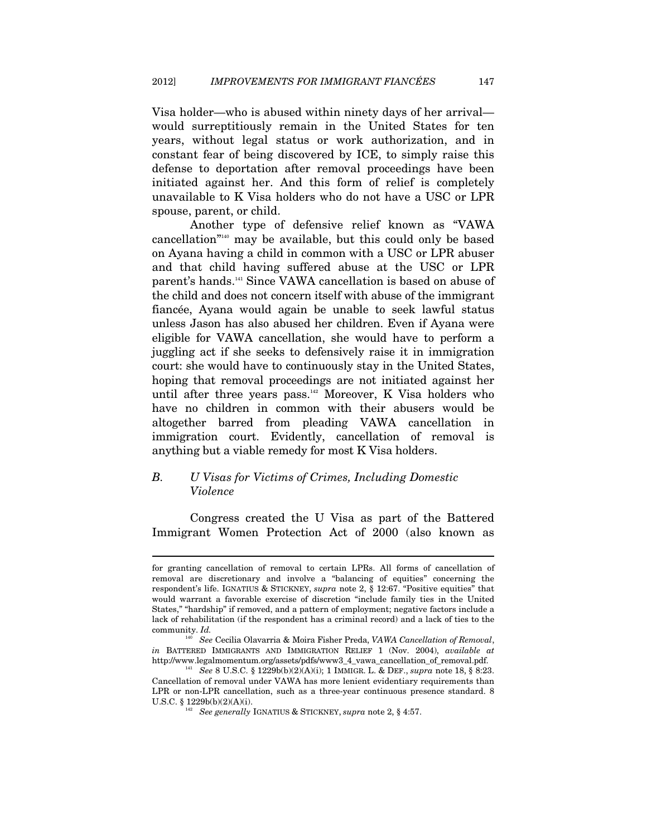Visa holder—who is abused within ninety days of her arrival would surreptitiously remain in the United States for ten years, without legal status or work authorization, and in constant fear of being discovered by ICE, to simply raise this defense to deportation after removal proceedings have been initiated against her. And this form of relief is completely unavailable to K Visa holders who do not have a USC or LPR spouse, parent, or child.

Another type of defensive relief known as "VAWA cancellation<sup>"140</sup> may be available, but this could only be based on Ayana having a child in common with a USC or LPR abuser and that child having suffered abuse at the USC or LPR parent's hands.141 Since VAWA cancellation is based on abuse of the child and does not concern itself with abuse of the immigrant fiancée, Ayana would again be unable to seek lawful status unless Jason has also abused her children. Even if Ayana were eligible for VAWA cancellation, she would have to perform a juggling act if she seeks to defensively raise it in immigration court: she would have to continuously stay in the United States, hoping that removal proceedings are not initiated against her until after three years pass. $142}$  Moreover, K Visa holders who have no children in common with their abusers would be altogether barred from pleading VAWA cancellation in immigration court. Evidently, cancellation of removal is anything but a viable remedy for most K Visa holders.

# *B. U Visas for Victims of Crimes, Including Domestic Violence*

 $\overline{a}$ 

Congress created the U Visa as part of the Battered Immigrant Women Protection Act of 2000 (also known as

for granting cancellation of removal to certain LPRs. All forms of cancellation of removal are discretionary and involve a "balancing of equities" concerning the respondent's life. IGNATIUS & STICKNEY, *supra* note 2, § 12:67. "Positive equities" that would warrant a favorable exercise of discretion "include family ties in the United States," "hardship" if removed, and a pattern of employment; negative factors include a lack of rehabilitation (if the respondent has a criminal record) and a lack of ties to the community. *Id.* 

<sup>140</sup> *See* Cecilia Olavarria & Moira Fisher Preda, *VAWA Cancellation of Removal*, *in* BATTERED IMMIGRANTS AND IMMIGRATION RELIEF 1 (Nov. 2004), *available at* http://www.legalmomentum.org/assets/pdfs/www3\_4\_vawa\_cancellation\_of\_removal.pdf.

<sup>&</sup>lt;sup>141</sup> See 8 U.S.C. § 1229b(b)(2)(A)(i); 1 IMMIGR. L. & DEF., *supra* note 18, § 8:23. Cancellation of removal under VAWA has more lenient evidentiary requirements than LPR or non-LPR cancellation, such as a three-year continuous presence standard. 8 U.S.C. § 1229b(b)(2)(A)(i). 142 *See generally* IGNATIUS & STICKNEY, *supra* note 2, § 4:57.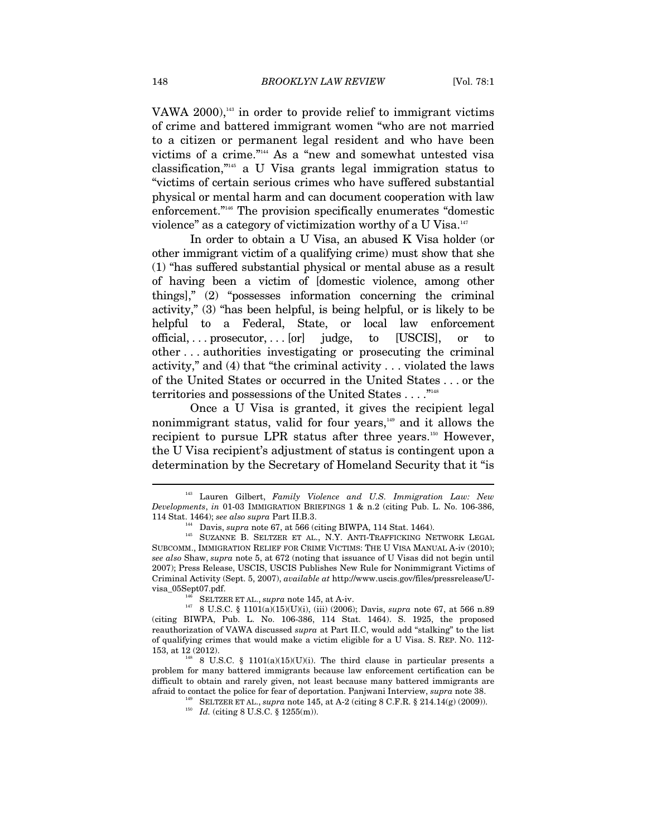VAWA 2000), $143$  in order to provide relief to immigrant victims of crime and battered immigrant women "who are not married to a citizen or permanent legal resident and who have been victims of a crime."144 As a "new and somewhat untested visa classification,"145 a U Visa grants legal immigration status to "victims of certain serious crimes who have suffered substantial physical or mental harm and can document cooperation with law enforcement."146 The provision specifically enumerates "domestic violence" as a category of victimization worthy of a U Visa.<sup>147</sup>

In order to obtain a U Visa, an abused K Visa holder (or other immigrant victim of a qualifying crime) must show that she (1) "has suffered substantial physical or mental abuse as a result of having been a victim of [domestic violence, among other things]," (2) "possesses information concerning the criminal activity," (3) "has been helpful, is being helpful, or is likely to be helpful to a Federal, State, or local law enforcement  $\alpha$  official, ... prosecutor, ...  $\alpha$  [USCIS], or to other . . . authorities investigating or prosecuting the criminal activity," and (4) that "the criminal activity . . . violated the laws of the United States or occurred in the United States . . . or the territories and possessions of the United States . . . . "<sup>148</sup>

Once a U Visa is granted, it gives the recipient legal nonimmigrant status, valid for four years,<sup>149</sup> and it allows the recipient to pursue LPR status after three years.<sup>150</sup> However, the U Visa recipient's adjustment of status is contingent upon a determination by the Secretary of Homeland Security that it "is

Lauren Gilbert, *Family Violence and U.S. Immigration Law: New Developments*, *in* 01-03 IMMIGRATION BRIEFINGS 1 & n.2 (citing Pub. L. No. 106-386,

<sup>114</sup> Stat. 1464); *see also supra* Part II.B.3. <sup>144</sup> Davis, *supra* note 67, at 566 (citing BIWPA, 114 Stat. 1464). <sup>145</sup> SUZANNE B. SELTZER ET AL., N.Y. ANTI-TRAFFICKING NETWORK LEGAL SUBCOMM., IMMIGRATION RELIEF FOR CRIME VICTIMS: THE U VISA MANUAL A-iv (2010); *see also* Shaw, *supra* note 5, at 672 (noting that issuance of U Visas did not begin until 2007); Press Release, USCIS, USCIS Publishes New Rule for Nonimmigrant Victims of Criminal Activity (Sept. 5, 2007), *available at* http://www.uscis.gov/files/pressrelease/Uvisa\_05Sept07.pdf. 146 SELTZER ET AL., *supra* note 145, at A-iv.

<sup>147 8</sup> U.S.C. § 1101(a)(15)(U)(i), (iii) (2006); Davis, *supra* note 67, at 566 n.89 (citing BIWPA, Pub. L. No. 106-386, 114 Stat. 1464). S. 1925, the proposed reauthorization of VAWA discussed *supra* at Part II.C, would add "stalking" to the list of qualifying crimes that would make a victim eligible for a U Visa. S. REP. NO. 112-

<sup>&</sup>lt;sup>148</sup> 8 U.S.C. § 1101(a)(15)(U)(i). The third clause in particular presents a problem for many battered immigrants because law enforcement certification can be difficult to obtain and rarely given, not least because many battered immigrants are afraid to contact the police for fear of deportation. Panjwani Interview, *supra* note 38.

<sup>&</sup>lt;sup>149</sup> SELTZER ET AL., *supra* note 145, at A-2 (citing 8 C.F.R. § 214.14(g) (2009)).<br><sup>150</sup> Id. (citing 8 U.S.C. § 1255(m)).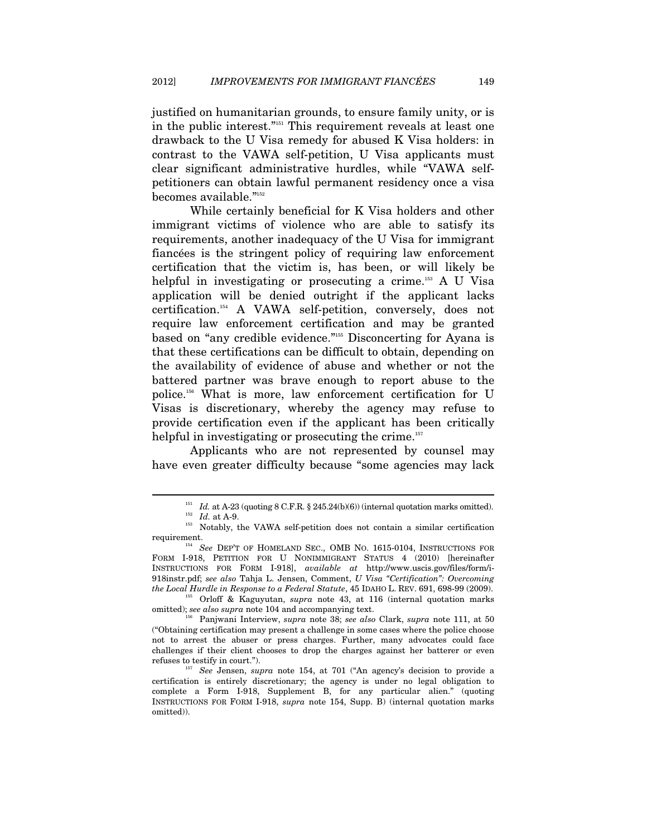justified on humanitarian grounds, to ensure family unity, or is in the public interest."151 This requirement reveals at least one drawback to the U Visa remedy for abused K Visa holders: in contrast to the VAWA self-petition, U Visa applicants must clear significant administrative hurdles, while "VAWA selfpetitioners can obtain lawful permanent residency once a visa becomes available."<sup>152</sup>

While certainly beneficial for K Visa holders and other immigrant victims of violence who are able to satisfy its requirements, another inadequacy of the U Visa for immigrant fiancées is the stringent policy of requiring law enforcement certification that the victim is, has been, or will likely be helpful in investigating or prosecuting a crime.<sup>153</sup> A U Visa application will be denied outright if the applicant lacks certification.154 A VAWA self-petition, conversely, does not require law enforcement certification and may be granted based on "any credible evidence."155 Disconcerting for Ayana is that these certifications can be difficult to obtain, depending on the availability of evidence of abuse and whether or not the battered partner was brave enough to report abuse to the police.156 What is more, law enforcement certification for U Visas is discretionary, whereby the agency may refuse to provide certification even if the applicant has been critically helpful in investigating or prosecuting the crime.<sup>157</sup>

Applicants who are not represented by counsel may have even greater difficulty because "some agencies may lack

 $\overline{a}$ 

omitted); *see also supra* note 104 and accompanying text. 156 Panjwani Interview, *supra* note 38; *see also* Clark, *supra* note 111, at 50

<sup>&</sup>lt;sup>151</sup> *Id.* at A-23 (quoting 8 C.F.R. § 245.24(b)(6)) (internal quotation marks omitted). <br><sup>152</sup> *Id.* at A-9. Notably, the VAWA self-petition does not contain a similar certification

requirement. 154 *See* DEP'T OF HOMELAND SEC., OMB NO. 1615-0104, INSTRUCTIONS FOR FORM I-918, PETITION FOR U NONIMMIGRANT STATUS 4 (2010) [hereinafter INSTRUCTIONS FOR FORM I-918], *available at* http://www.uscis.gov/files/form/i-918instr.pdf; *see also* Tahja L. Jensen, Comment, *U Visa "Certification": Overcoming the Local Hurdle in Response to a Federal Statute*, 45 IDAHO L. REV. 691, 698-99 (2009). 155 Orloff & Kaguyutan, *supra* note 43, at 116 (internal quotation marks

<sup>(&</sup>quot;Obtaining certification may present a challenge in some cases where the police choose not to arrest the abuser or press charges. Further, many advocates could face challenges if their client chooses to drop the charges against her batterer or even refuses to testify in court."). 157 *See* Jensen, *supra* note 154, at 701 ("An agency's decision to provide a

certification is entirely discretionary; the agency is under no legal obligation to complete a Form I-918, Supplement B, for any particular alien." (quoting INSTRUCTIONS FOR FORM I-918, *supra* note 154, Supp. B) (internal quotation marks omitted)).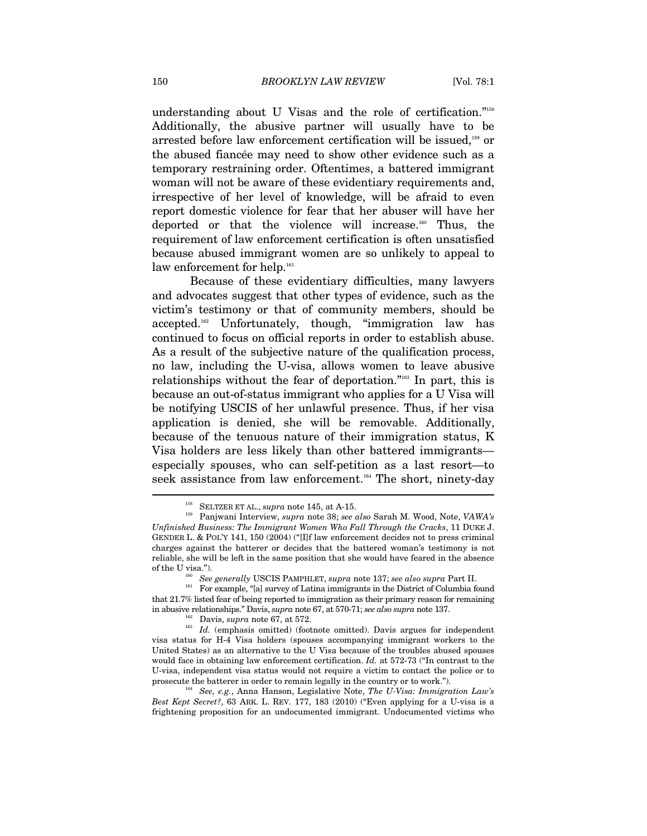understanding about U Visas and the role of certification."<sup>158</sup> Additionally, the abusive partner will usually have to be arrested before law enforcement certification will be issued,<sup>159</sup> or the abused fiancée may need to show other evidence such as a temporary restraining order. Oftentimes, a battered immigrant woman will not be aware of these evidentiary requirements and, irrespective of her level of knowledge, will be afraid to even report domestic violence for fear that her abuser will have her deported or that the violence will increase.<sup>160</sup> Thus, the requirement of law enforcement certification is often unsatisfied because abused immigrant women are so unlikely to appeal to law enforcement for help.<sup>161</sup>

Because of these evidentiary difficulties, many lawyers and advocates suggest that other types of evidence, such as the victim's testimony or that of community members, should be accepted.<sup>162</sup> Unfortunately, though, "immigration law has continued to focus on official reports in order to establish abuse. As a result of the subjective nature of the qualification process, no law, including the U-visa, allows women to leave abusive relationships without the fear of deportation."163 In part, this is because an out-of-status immigrant who applies for a U Visa will be notifying USCIS of her unlawful presence. Thus, if her visa application is denied, she will be removable. Additionally, because of the tenuous nature of their immigration status, K Visa holders are less likely than other battered immigrants especially spouses, who can self-petition as a last resort—to seek assistance from law enforcement.<sup>164</sup> The short, ninety-day

<sup>158</sup> SELTZER ET AL., *supra* note 145, at A-15. 159 Panjwani Interview, *supra* note 38; *see also* Sarah M. Wood, Note, *VAWA's Unfinished Business: The Immigrant Women Who Fall Through the Cracks*, 11 DUKE J. GENDER L. & POL'Y 141, 150 (2004) ("[I]f law enforcement decides not to press criminal charges against the batterer or decides that the battered woman's testimony is not reliable, she will be left in the same position that she would have feared in the absence

of the U visa.").<br><sup>160</sup> See generally USCIS PAMPHLET, *supra* note 137; *see also supra* Part II.<br><sup>161</sup> For example, "[a] survey of Latina immigrants in the District of Columbia found that 21.7% listed fear of being reported to immigration as their primary reason for remaining in abusive relationships." Davis, *supra* note 67, at 570-71; *see also supra* note 137.

<sup>&</sup>lt;sup>162</sup> Davis, *supra* note 67, at 572.<br><sup>163</sup> Id. (emphasis omitted) (footnote omitted). Davis argues for independent visa status for H-4 Visa holders (spouses accompanying immigrant workers to the United States) as an alternative to the U Visa because of the troubles abused spouses would face in obtaining law enforcement certification. *Id.* at 572-73 ("In contrast to the U-visa, independent visa status would not require a victim to contact the police or to prosecute the batterer in order to remain legally in the country or to work.").

<sup>164</sup> *See, e.g.*, Anna Hanson, Legislative Note, *The U-Visa: Immigration Law's Best Kept Secret?*, 63 ARK. L. REV. 177, 183 (2010) ("Even applying for a U-visa is a frightening proposition for an undocumented immigrant. Undocumented victims who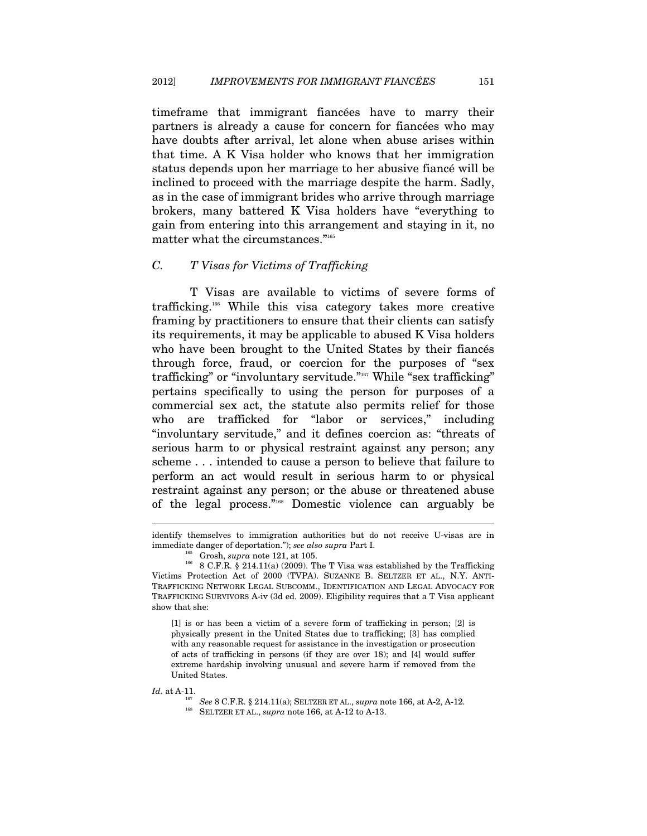timeframe that immigrant fiancées have to marry their partners is already a cause for concern for fiancées who may have doubts after arrival, let alone when abuse arises within that time. A K Visa holder who knows that her immigration status depends upon her marriage to her abusive fiancé will be inclined to proceed with the marriage despite the harm. Sadly, as in the case of immigrant brides who arrive through marriage brokers, many battered K Visa holders have "everything to gain from entering into this arrangement and staying in it, no matter what the circumstances."165

#### *C. T Visas for Victims of Trafficking*

T Visas are available to victims of severe forms of trafficking.166 While this visa category takes more creative framing by practitioners to ensure that their clients can satisfy its requirements, it may be applicable to abused K Visa holders who have been brought to the United States by their fiancés through force, fraud, or coercion for the purposes of "sex trafficking" or "involuntary servitude."<sup>167</sup> While "sex trafficking" pertains specifically to using the person for purposes of a commercial sex act, the statute also permits relief for those who are trafficked for "labor or services," including "involuntary servitude," and it defines coercion as: "threats of serious harm to or physical restraint against any person; any scheme . . . intended to cause a person to believe that failure to perform an act would result in serious harm to or physical restraint against any person; or the abuse or threatened abuse of the legal process."168 Domestic violence can arguably be

[1] is or has been a victim of a severe form of trafficking in person; [2] is physically present in the United States due to trafficking; [3] has complied with any reasonable request for assistance in the investigation or prosecution of acts of trafficking in persons (if they are over 18); and [4] would suffer extreme hardship involving unusual and severe harm if removed from the United States.

identify themselves to immigration authorities but do not receive U-visas are in immediate danger of deportation."); *see also supra* Part I.<br><sup>165</sup> Grosh, *supra* note 121, at 105.<br><sup>166</sup> 8 C.F.R. § 214.11(a) (2009). The T Visa was established by the Trafficking

Victims Protection Act of 2000 (TVPA). SUZANNE B. SELTZER ET AL., N.Y. ANTI-TRAFFICKING NETWORK LEGAL SUBCOMM., IDENTIFICATION AND LEGAL ADVOCACY FOR TRAFFICKING SURVIVORS A-iv (3d ed. 2009). Eligibility requires that a T Visa applicant show that she:

*Id.* at A-11. *See* 8 C.F.R. § 214.11(a); SELTZER ET AL., *supra* note 166, at A-2, A-12. <sup>168</sup> SELTZER ET AL., *supra* note 166, at A-12 to A-13.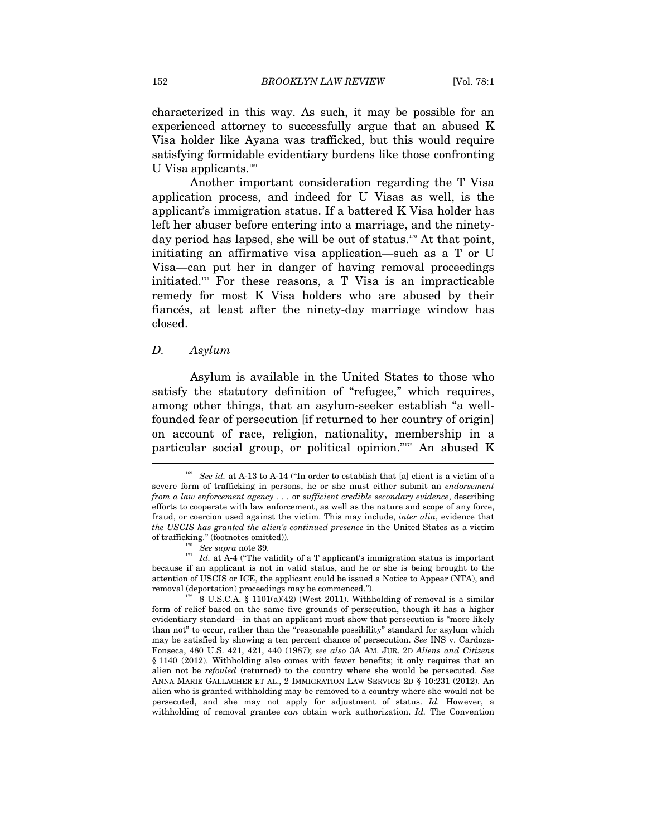characterized in this way. As such, it may be possible for an experienced attorney to successfully argue that an abused K Visa holder like Ayana was trafficked, but this would require satisfying formidable evidentiary burdens like those confronting U Visa applicants.<sup>169</sup>

Another important consideration regarding the T Visa application process, and indeed for U Visas as well, is the applicant's immigration status. If a battered K Visa holder has left her abuser before entering into a marriage, and the ninetyday period has lapsed, she will be out of status.<sup>170</sup> At that point, initiating an affirmative visa application—such as a T or U Visa—can put her in danger of having removal proceedings initiated. $171$  For these reasons, a T Visa is an impracticable remedy for most K Visa holders who are abused by their fiancés, at least after the ninety-day marriage window has closed.

#### *D. Asylum*

Asylum is available in the United States to those who satisfy the statutory definition of "refugee," which requires, among other things, that an asylum-seeker establish "a wellfounded fear of persecution [if returned to her country of origin] on account of race, religion, nationality, membership in a particular social group, or political opinion."172 An abused K

<sup>169</sup> *See id.* at A-13 to A-14 ("In order to establish that [a] client is a victim of a severe form of trafficking in persons, he or she must either submit an *endorsement from a law enforcement agency . . .* or *sufficient credible secondary evidence*, describing efforts to cooperate with law enforcement, as well as the nature and scope of any force, fraud, or coercion used against the victim. This may include, *inter alia*, evidence that *the USCIS has granted the alien's continued presence* in the United States as a victim

of trafficking." (footnotes omitted)).<br><sup>170</sup> *See supra* note 39.<br><sup>171</sup> *Id.* at A-4 ("The validity of a T applicant's immigration status is important because if an applicant is not in valid status, and he or she is being brought to the attention of USCIS or ICE, the applicant could be issued a Notice to Appear (NTA), and removal (deportation) proceedings may be commenced.").<br>
<sup>172</sup> 8 U.S.C.A. § 1101(a)(42) (West 2011). Withholding of removal is a similar

form of relief based on the same five grounds of persecution, though it has a higher evidentiary standard—in that an applicant must show that persecution is "more likely than not" to occur, rather than the "reasonable possibility" standard for asylum which may be satisfied by showing a ten percent chance of persecution. *See* INS v. Cardoza-Fonseca, 480 U.S. 421, 421, 440 (1987); *see also* 3A AM. JUR. 2D *Aliens and Citizens* § 1140 (2012). Withholding also comes with fewer benefits; it only requires that an alien not be *refouled* (returned) to the country where she would be persecuted. *See*  ANNA MARIE GALLAGHER ET AL., 2 IMMIGRATION LAW SERVICE 2D § 10:231 (2012). An alien who is granted withholding may be removed to a country where she would not be persecuted, and she may not apply for adjustment of status. *Id.* However, a withholding of removal grantee *can* obtain work authorization. *Id.* The Convention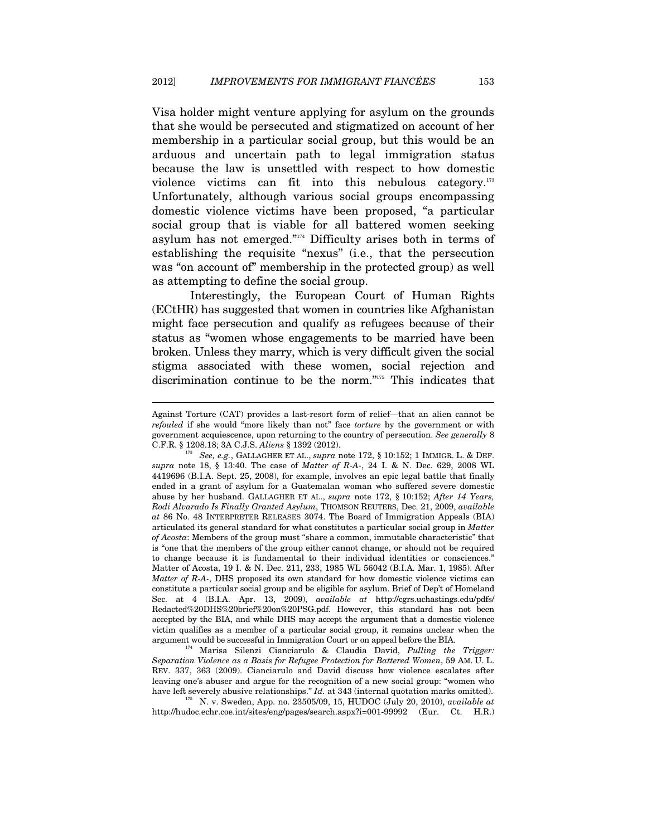Visa holder might venture applying for asylum on the grounds that she would be persecuted and stigmatized on account of her membership in a particular social group, but this would be an arduous and uncertain path to legal immigration status because the law is unsettled with respect to how domestic violence victims can fit into this nebulous category.<sup>173</sup> Unfortunately, although various social groups encompassing domestic violence victims have been proposed, "a particular social group that is viable for all battered women seeking asylum has not emerged."174 Difficulty arises both in terms of establishing the requisite "nexus" (i.e., that the persecution was "on account of" membership in the protected group) as well as attempting to define the social group.

Interestingly, the European Court of Human Rights (ECtHR) has suggested that women in countries like Afghanistan might face persecution and qualify as refugees because of their status as "women whose engagements to be married have been broken. Unless they marry, which is very difficult given the social stigma associated with these women, social rejection and discrimination continue to be the norm."175 This indicates that

 $\overline{a}$ 

argument would be successful in Immigration Court or on appeal before the BIA. 174 Marisa Silenzi Cianciarulo & Claudia David, *Pulling the Trigger: Separation Violence as a Basis for Refugee Protection for Battered Women*, 59 AM. U. L. REV. 337, 363 (2009). Cianciarulo and David discuss how violence escalates after leaving one's abuser and argue for the recognition of a new social group: "women who have left severely abusive relationships."  $Id$ . at 343 (internal quotation marks omitted).

 $^{175}\,$  N. v. Sweden, App. no. 23505/09, 15, HUDOC (July 20, 2010),  $available~at$ http://hudoc.echr.coe.int/sites/eng/pages/search.aspx?i=001-99992 (Eur. Ct. H.R.)

Against Torture (CAT) provides a last-resort form of relief—that an alien cannot be *refouled* if she would "more likely than not" face *torture* by the government or with government acquiescence, upon returning to the country of persecution. *See generally* 8 C.F.R. § 1208.18; 3A C.J.S. *Aliens* § 1392 (2012). 173 *See, e.g.*, GALLAGHER ET AL., *supra* note 172, § 10:152; 1 IMMIGR. L. & DEF.

*supra* note 18, § 13:40. The case of *Matter of R-A-*, 24 I. & N. Dec. 629, 2008 WL 4419696 (B.I.A. Sept. 25, 2008), for example, involves an epic legal battle that finally ended in a grant of asylum for a Guatemalan woman who suffered severe domestic abuse by her husband. GALLAGHER ET AL., *supra* note 172, § 10:152; *After 14 Years, Rodi Alvarado Is Finally Granted Asylum*, THOMSON REUTERS, Dec. 21, 2009, *available at* 86 No. 48 INTERPRETER RELEASES 3074. The Board of Immigration Appeals (BIA) articulated its general standard for what constitutes a particular social group in *Matter of Acosta*: Members of the group must "share a common, immutable characteristic" that is "one that the members of the group either cannot change, or should not be required to change because it is fundamental to their individual identities or consciences." Matter of Acosta, 19 I. & N. Dec. 211, 233, 1985 WL 56042 (B.I.A. Mar. 1, 1985). After *Matter of R-A-*, DHS proposed its own standard for how domestic violence victims can constitute a particular social group and be eligible for asylum. Brief of Dep't of Homeland Sec. at 4 (B.I.A. Apr. 13, 2009), *available at* http://cgrs.uchastings.edu/pdfs/ Redacted%20DHS%20brief%20on%20PSG.pdf. However, this standard has not been accepted by the BIA, and while DHS may accept the argument that a domestic violence victim qualifies as a member of a particular social group, it remains unclear when the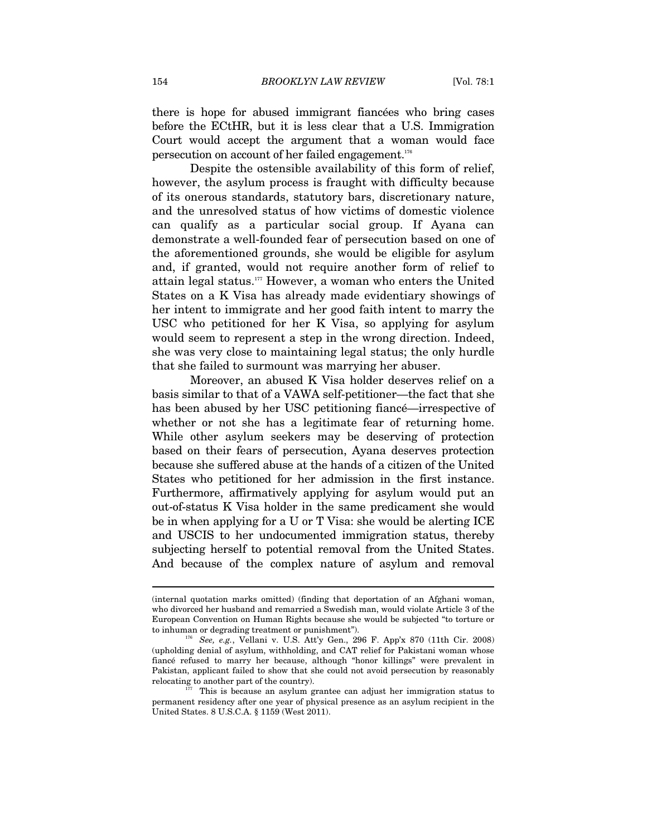there is hope for abused immigrant fiancées who bring cases before the ECtHR, but it is less clear that a U.S. Immigration Court would accept the argument that a woman would face persecution on account of her failed engagement.176

Despite the ostensible availability of this form of relief, however, the asylum process is fraught with difficulty because of its onerous standards, statutory bars, discretionary nature, and the unresolved status of how victims of domestic violence can qualify as a particular social group. If Ayana can demonstrate a well-founded fear of persecution based on one of the aforementioned grounds, she would be eligible for asylum and, if granted, would not require another form of relief to attain legal status.177 However, a woman who enters the United States on a K Visa has already made evidentiary showings of her intent to immigrate and her good faith intent to marry the USC who petitioned for her K Visa, so applying for asylum would seem to represent a step in the wrong direction. Indeed, she was very close to maintaining legal status; the only hurdle that she failed to surmount was marrying her abuser.

Moreover, an abused K Visa holder deserves relief on a basis similar to that of a VAWA self-petitioner—the fact that she has been abused by her USC petitioning fiancé—irrespective of whether or not she has a legitimate fear of returning home. While other asylum seekers may be deserving of protection based on their fears of persecution, Ayana deserves protection because she suffered abuse at the hands of a citizen of the United States who petitioned for her admission in the first instance. Furthermore, affirmatively applying for asylum would put an out-of-status K Visa holder in the same predicament she would be in when applying for a U or T Visa: she would be alerting ICE and USCIS to her undocumented immigration status, thereby subjecting herself to potential removal from the United States. And because of the complex nature of asylum and removal

<sup>(</sup>internal quotation marks omitted) (finding that deportation of an Afghani woman, who divorced her husband and remarried a Swedish man, would violate Article 3 of the European Convention on Human Rights because she would be subjected "to torture or to inhuman or degrading treatment or punishment"). 176 *See, e.g.*, Vellani v. U.S. Att'y Gen., 296 F. App'x 870 (11th Cir. 2008)

<sup>(</sup>upholding denial of asylum, withholding, and CAT relief for Pakistani woman whose fiancé refused to marry her because, although "honor killings" were prevalent in Pakistan, applicant failed to show that she could not avoid persecution by reasonably relocating to another part of the country).<br><sup>177</sup> This is because an asylum grantee can adjust her immigration status to

permanent residency after one year of physical presence as an asylum recipient in the United States. 8 U.S.C.A. § 1159 (West 2011).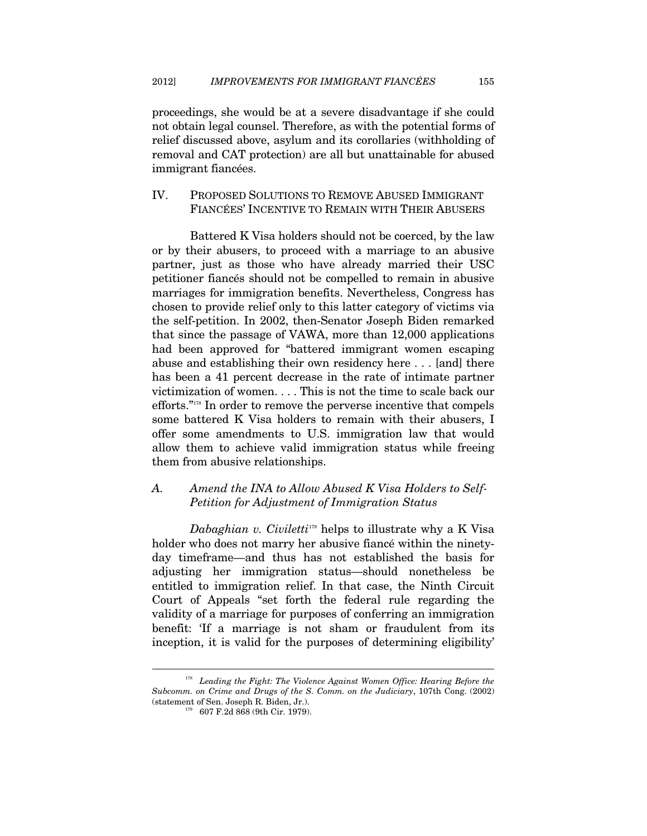proceedings, she would be at a severe disadvantage if she could not obtain legal counsel. Therefore, as with the potential forms of relief discussed above, asylum and its corollaries (withholding of removal and CAT protection) are all but unattainable for abused immigrant fiancées.

#### IV. PROPOSED SOLUTIONS TO REMOVE ABUSED IMMIGRANT FIANCÉES' INCENTIVE TO REMAIN WITH THEIR ABUSERS

Battered K Visa holders should not be coerced, by the law or by their abusers, to proceed with a marriage to an abusive partner, just as those who have already married their USC petitioner fiancés should not be compelled to remain in abusive marriages for immigration benefits. Nevertheless, Congress has chosen to provide relief only to this latter category of victims via the self-petition. In 2002, then-Senator Joseph Biden remarked that since the passage of VAWA, more than 12,000 applications had been approved for "battered immigrant women escaping abuse and establishing their own residency here . . . [and] there has been a 41 percent decrease in the rate of intimate partner victimization of women. . . . This is not the time to scale back our efforts."178 In order to remove the perverse incentive that compels some battered K Visa holders to remain with their abusers, I offer some amendments to U.S. immigration law that would allow them to achieve valid immigration status while freeing them from abusive relationships.

# *A. Amend the INA to Allow Abused K Visa Holders to Self-Petition for Adjustment of Immigration Status*

*Dabaghian v. Civiletti*179 helps to illustrate why a K Visa holder who does not marry her abusive fiancé within the ninetyday timeframe—and thus has not established the basis for adjusting her immigration status—should nonetheless be entitled to immigration relief. In that case, the Ninth Circuit Court of Appeals "set forth the federal rule regarding the validity of a marriage for purposes of conferring an immigration benefit: 'If a marriage is not sham or fraudulent from its inception, it is valid for the purposes of determining eligibility'

<sup>&</sup>lt;sup>178</sup> Leading the Fight: The Violence Against Women Office: Hearing Before the *Subcomm. on Crime and Drugs of the S. Comm. on the Judiciary*, 107th Cong. (2002) (statement of Sen. Joseph R. Biden, Jr.).<br><sup>179</sup> 607 F.2d 868 (9th Cir. 1979).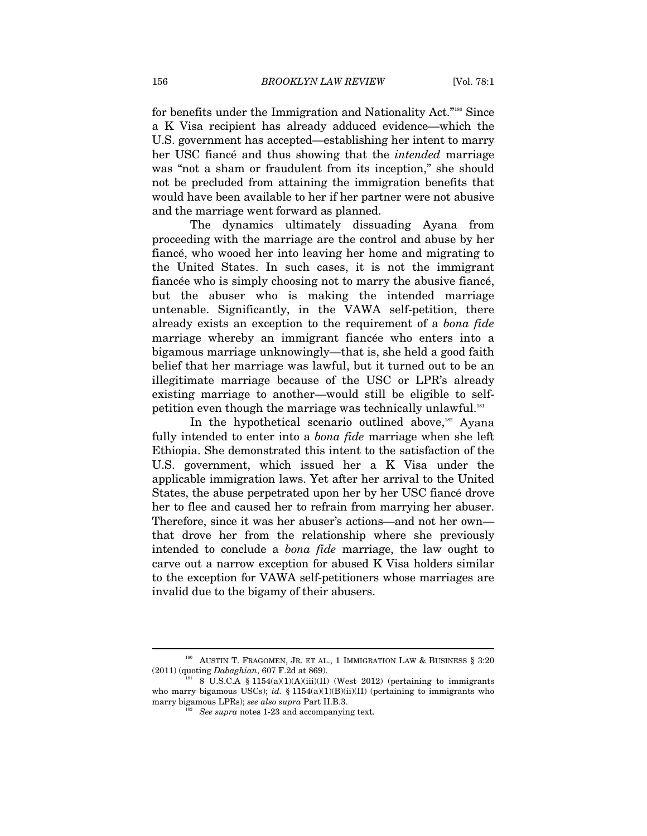for benefits under the Immigration and Nationality Act."180 Since a K Visa recipient has already adduced evidence—which the U.S. government has accepted—establishing her intent to marry her USC fiancé and thus showing that the *intended* marriage was "not a sham or fraudulent from its inception," she should not be precluded from attaining the immigration benefits that would have been available to her if her partner were not abusive and the marriage went forward as planned.

The dynamics ultimately dissuading Ayana from proceeding with the marriage are the control and abuse by her fiancé, who wooed her into leaving her home and migrating to the United States. In such cases, it is not the immigrant fiancée who is simply choosing not to marry the abusive fiancé, but the abuser who is making the intended marriage untenable. Significantly, in the VAWA self-petition, there already exists an exception to the requirement of a *bona fide* marriage whereby an immigrant fiancée who enters into a bigamous marriage unknowingly—that is, she held a good faith belief that her marriage was lawful, but it turned out to be an illegitimate marriage because of the USC or LPR's already existing marriage to another—would still be eligible to selfpetition even though the marriage was technically unlawful.<sup>181</sup>

In the hypothetical scenario outlined above,<sup>182</sup> Ayana fully intended to enter into a *bona fide* marriage when she left Ethiopia. She demonstrated this intent to the satisfaction of the U.S. government, which issued her a K Visa under the applicable immigration laws. Yet after her arrival to the United States, the abuse perpetrated upon her by her USC fiancé drove her to flee and caused her to refrain from marrying her abuser. Therefore, since it was her abuser's actions—and not her own that drove her from the relationship where she previously intended to conclude a *bona fide* marriage, the law ought to carve out a narrow exception for abused K Visa holders similar to the exception for VAWA self-petitioners whose marriages are invalid due to the bigamy of their abusers.

 $180$  AUSTIN T. FRAGOMEN, JR. ET AL., 1 IMMIGRATION LAW & BUSINESS § 3:20  $(2011)$  (quoting *Dabaghian*, 607 F.2d at 869).<br><sup>181</sup> 8 U.S.C.A § 1154(a)(1)(A)(iii)(II) (West 2012) (pertaining to immigrants

who marry bigamous USCs); *id.* § 1154(a)(1)(B)(ii)(II) (pertaining to immigrants who marry bigamous LPRs); *see also supra* Part II.B.3.<br><sup>182</sup> See supra notes 1-23 and accompanying text.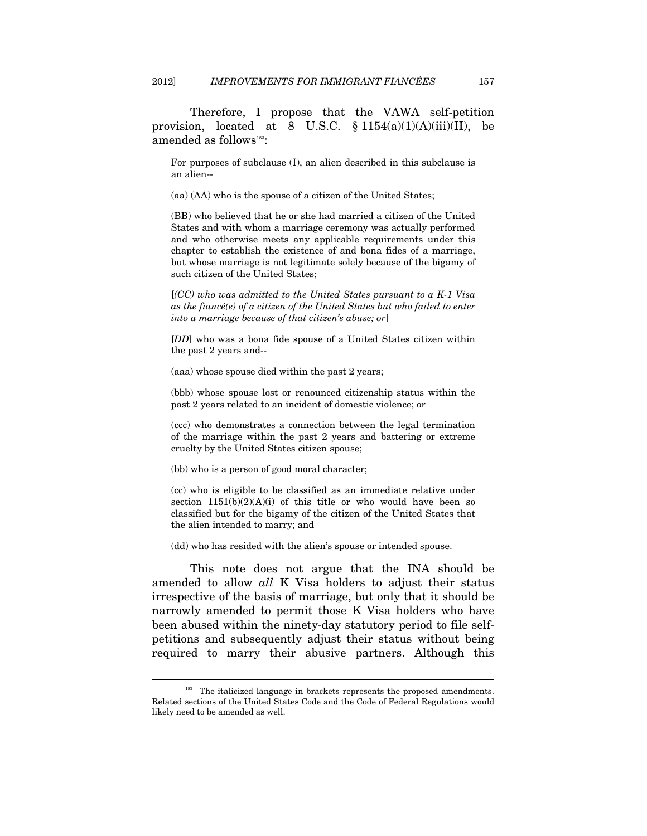Therefore, I propose that the VAWA self-petition provision, located at 8 U.S.C.  $\frac{1154(a)(1)(A)(iii)}{I}$ , be amended as follows<sup>183</sup>:

For purposes of subclause (I), an alien described in this subclause is an alien--

(aa) (AA) who is the spouse of a citizen of the United States;

(BB) who believed that he or she had married a citizen of the United States and with whom a marriage ceremony was actually performed and who otherwise meets any applicable requirements under this chapter to establish the existence of and bona fides of a marriage, but whose marriage is not legitimate solely because of the bigamy of such citizen of the United States;

[*(CC) who was admitted to the United States pursuant to a K-1 Visa as the fiancé(e) of a citizen of the United States but who failed to enter into a marriage because of that citizen's abuse; or*]

[*DD*] who was a bona fide spouse of a United States citizen within the past 2 years and--

(aaa) whose spouse died within the past 2 years;

(bbb) whose spouse lost or renounced citizenship status within the past 2 years related to an incident of domestic violence; or

(ccc) who demonstrates a connection between the legal termination of the marriage within the past 2 years and battering or extreme cruelty by the United States citizen spouse;

(bb) who is a person of good moral character;

 $\overline{a}$ 

(cc) who is eligible to be classified as an immediate relative under section  $1151(b)(2)(A)(i)$  of this title or who would have been so classified but for the bigamy of the citizen of the United States that the alien intended to marry; and

(dd) who has resided with the alien's spouse or intended spouse.

This note does not argue that the INA should be amended to allow *all* K Visa holders to adjust their status irrespective of the basis of marriage, but only that it should be narrowly amended to permit those K Visa holders who have been abused within the ninety-day statutory period to file selfpetitions and subsequently adjust their status without being required to marry their abusive partners. Although this

<sup>&</sup>lt;sup>183</sup> The italicized language in brackets represents the proposed amendments. Related sections of the United States Code and the Code of Federal Regulations would likely need to be amended as well.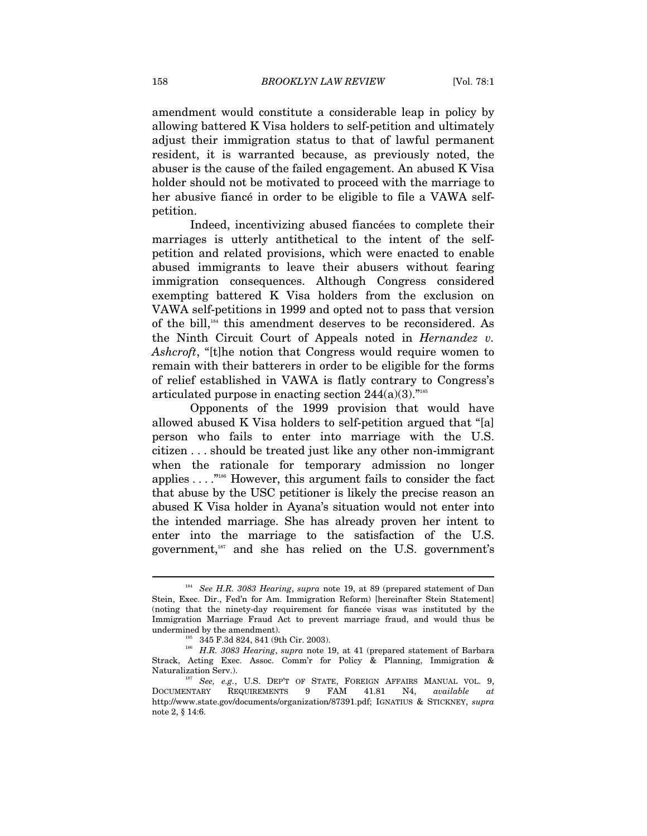amendment would constitute a considerable leap in policy by allowing battered K Visa holders to self-petition and ultimately adjust their immigration status to that of lawful permanent resident, it is warranted because, as previously noted, the abuser is the cause of the failed engagement. An abused K Visa holder should not be motivated to proceed with the marriage to her abusive fiancé in order to be eligible to file a VAWA selfpetition.

Indeed, incentivizing abused fiancées to complete their marriages is utterly antithetical to the intent of the selfpetition and related provisions, which were enacted to enable abused immigrants to leave their abusers without fearing immigration consequences. Although Congress considered exempting battered K Visa holders from the exclusion on VAWA self-petitions in 1999 and opted not to pass that version of the bill,184 this amendment deserves to be reconsidered. As the Ninth Circuit Court of Appeals noted in *Hernandez v. Ashcroft*, "[t]he notion that Congress would require women to remain with their batterers in order to be eligible for the forms of relief established in VAWA is flatly contrary to Congress's articulated purpose in enacting section 244(a)(3)."185

Opponents of the 1999 provision that would have allowed abused K Visa holders to self-petition argued that "[a] person who fails to enter into marriage with the U.S. citizen . . . should be treated just like any other non-immigrant when the rationale for temporary admission no longer applies . . . ."186 However, this argument fails to consider the fact that abuse by the USC petitioner is likely the precise reason an abused K Visa holder in Ayana's situation would not enter into the intended marriage. She has already proven her intent to enter into the marriage to the satisfaction of the U.S. government, $187$  and she has relied on the U.S. government's

<sup>184</sup> *See H.R. 3083 Hearing*, *supra* note 19, at 89 (prepared statement of Dan Stein, Exec. Dir., Fed'n for Am. Immigration Reform) [hereinafter Stein Statement] (noting that the ninety-day requirement for fiancée visas was instituted by the Immigration Marriage Fraud Act to prevent marriage fraud, and would thus be undermined by the amendment).  $^{185}$   $\,$  345 F.3d 824, 841 (9th Cir. 2003).

<sup>&</sup>lt;sup>186</sup> H.R. 3083 Hearing, *supra* note 19, at 41 (prepared statement of Barbara Strack, Acting Exec. Assoc. Comm'r for Policy & Planning, Immigration & Naturalization Serv.). 187 See, e.g., U.S. DEP'T OF STATE, FOREIGN AFFAIRS MANUAL VOL. 9,

DOCUMENTARY REQUIREMENTS 9 FAM 41.81 N4, *available at*  http://www.state.gov/documents/organization/87391.pdf; IGNATIUS & STICKNEY, *supra* note 2, § 14:6.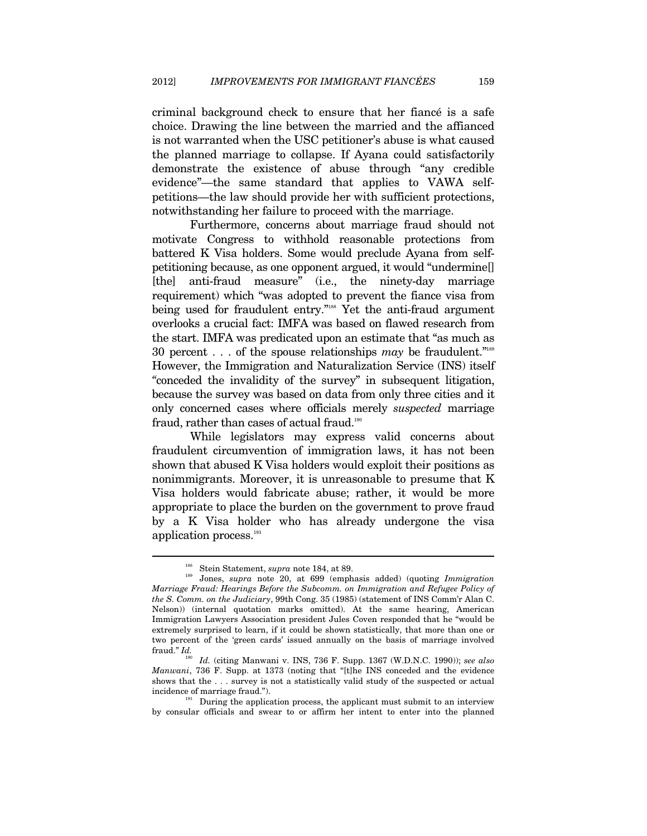criminal background check to ensure that her fiancé is a safe choice. Drawing the line between the married and the affianced is not warranted when the USC petitioner's abuse is what caused the planned marriage to collapse. If Ayana could satisfactorily demonstrate the existence of abuse through "any credible evidence"—the same standard that applies to VAWA selfpetitions—the law should provide her with sufficient protections, notwithstanding her failure to proceed with the marriage.

Furthermore, concerns about marriage fraud should not motivate Congress to withhold reasonable protections from battered K Visa holders. Some would preclude Ayana from selfpetitioning because, as one opponent argued, it would "undermine[] [the] anti-fraud measure" (i.e., the ninety-day marriage requirement) which "was adopted to prevent the fiance visa from being used for fraudulent entry."<sup>188</sup> Yet the anti-fraud argument overlooks a crucial fact: IMFA was based on flawed research from the start. IMFA was predicated upon an estimate that "as much as 30 percent . . . of the spouse relationships *may* be fraudulent."189 However, the Immigration and Naturalization Service (INS) itself *"*conceded the invalidity of the survey" in subsequent litigation, because the survey was based on data from only three cities and it only concerned cases where officials merely *suspected* marriage fraud, rather than cases of actual fraud.<sup>190</sup>

While legislators may express valid concerns about fraudulent circumvention of immigration laws, it has not been shown that abused K Visa holders would exploit their positions as nonimmigrants. Moreover, it is unreasonable to presume that K Visa holders would fabricate abuse; rather, it would be more appropriate to place the burden on the government to prove fraud by a K Visa holder who has already undergone the visa application process.<sup>191</sup>

<sup>&</sup>lt;sup>188</sup> Stein Statement, *supra* note 184, at 89.<br><sup>189</sup> Jones, *supra* note 20, at 699 (emphasis added) (quoting *Immigration Marriage Fraud: Hearings Before the Subcomm. on Immigration and Refugee Policy of the S. Comm. on the Judiciary*, 99th Cong. 35 (1985) (statement of INS Comm'r Alan C. Nelson)) (internal quotation marks omitted). At the same hearing, American Immigration Lawyers Association president Jules Coven responded that he "would be extremely surprised to learn, if it could be shown statistically, that more than one or two percent of the 'green cards' issued annually on the basis of marriage involved fraud." *Id.* 

<sup>190</sup> *Id.* (citing Manwani v. INS, 736 F. Supp. 1367 (W.D.N.C. 1990)); *see also Manwani*, 736 F. Supp. at 1373 (noting that "[t]he INS conceded and the evidence shows that the . . . survey is not a statistically valid study of the suspected or actual incidence of marriage fraud.").<br>During the application process, the applicant must submit to an interview

by consular officials and swear to or affirm her intent to enter into the planned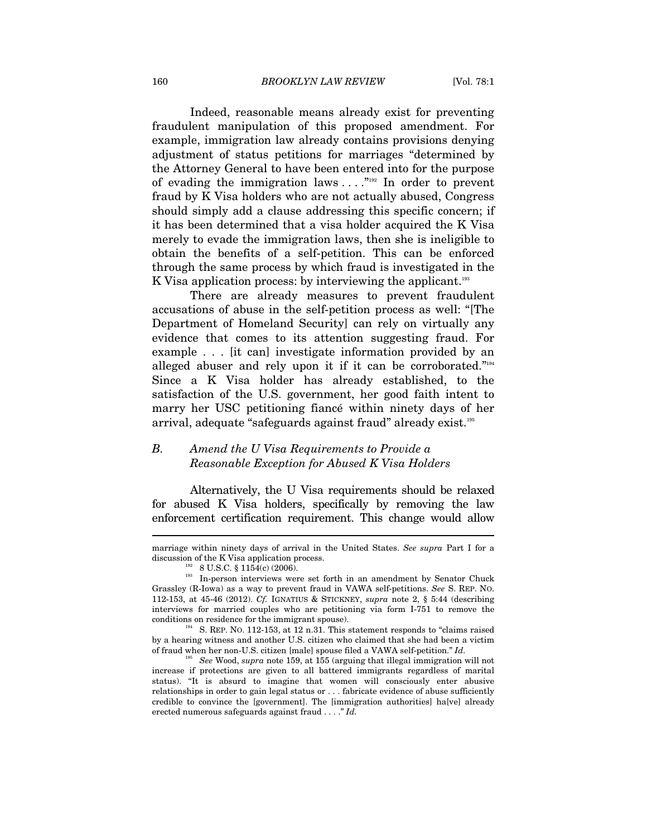Indeed, reasonable means already exist for preventing fraudulent manipulation of this proposed amendment. For example, immigration law already contains provisions denying adjustment of status petitions for marriages "determined by the Attorney General to have been entered into for the purpose of evading the immigration laws  $\dots$ ."<sup>192</sup> In order to prevent fraud by K Visa holders who are not actually abused, Congress should simply add a clause addressing this specific concern; if it has been determined that a visa holder acquired the K Visa merely to evade the immigration laws, then she is ineligible to obtain the benefits of a self-petition. This can be enforced through the same process by which fraud is investigated in the K Visa application process: by interviewing the applicant.<sup>193</sup>

There are already measures to prevent fraudulent accusations of abuse in the self-petition process as well: "[The Department of Homeland Security] can rely on virtually any evidence that comes to its attention suggesting fraud. For example . . . [it can] investigate information provided by an alleged abuser and rely upon it if it can be corroborated."<sup>194</sup> Since a K Visa holder has already established, to the satisfaction of the U.S. government, her good faith intent to marry her USC petitioning fiancé within ninety days of her arrival, adequate "safeguards against fraud" already exist.195

# *B. Amend the U Visa Requirements to Provide a Reasonable Exception for Abused K Visa Holders*

Alternatively, the U Visa requirements should be relaxed for abused K Visa holders, specifically by removing the law enforcement certification requirement. This change would allow

marriage within ninety days of arrival in the United States. *See supra* Part I for a

discussion of the K Visa application process.<br>
<sup>192</sup> 8 U.S.C. § 1154(c) (2006).<br>
<sup>193</sup> In-person interviews were set forth in an amendment by Senator Chuck Grassley (R-Iowa) as a way to prevent fraud in VAWA self-petitions. *See* S. REP. NO. 112-153, at 45-46 (2012). *Cf.* IGNATIUS & STICKNEY, *supra* note 2, § 5:44 (describing interviews for married couples who are petitioning via form I-751 to remove the conditions on residence for the immigrant spouse).<br><sup>194</sup> S. REP. NO. 112-153, at 12 n.31. This statement responds to "claims raised"

by a hearing witness and another U.S. citizen who claimed that she had been a victim of fraud when her non-U.S. citizen [male] spouse filed a VAWA self-petition." *Id.*

<sup>195</sup> *See* Wood, *supra* note 159, at 155 (arguing that illegal immigration will not increase if protections are given to all battered immigrants regardless of marital status). "It is absurd to imagine that women will consciously enter abusive relationships in order to gain legal status or . . . fabricate evidence of abuse sufficiently credible to convince the [government]. The [immigration authorities] ha[ve] already erected numerous safeguards against fraud . . . ." *Id.*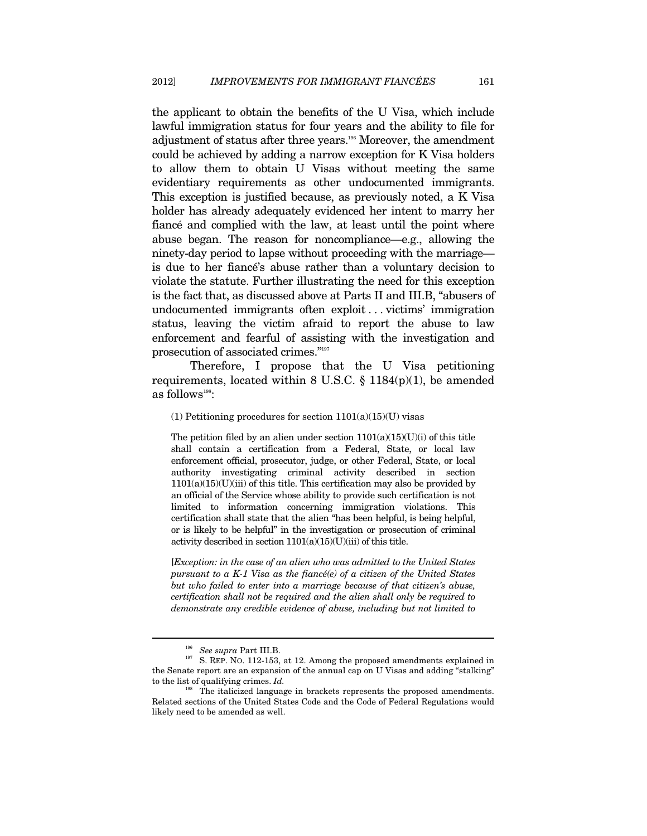the applicant to obtain the benefits of the U Visa, which include lawful immigration status for four years and the ability to file for adjustment of status after three years.196 Moreover, the amendment could be achieved by adding a narrow exception for K Visa holders to allow them to obtain U Visas without meeting the same evidentiary requirements as other undocumented immigrants. This exception is justified because, as previously noted, a K Visa holder has already adequately evidenced her intent to marry her fiancé and complied with the law, at least until the point where abuse began. The reason for noncompliance—e.g., allowing the ninety-day period to lapse without proceeding with the marriage is due to her fiancé's abuse rather than a voluntary decision to violate the statute. Further illustrating the need for this exception is the fact that, as discussed above at Parts II and III.B, "abusers of undocumented immigrants often exploit . . . victims' immigration status, leaving the victim afraid to report the abuse to law enforcement and fearful of assisting with the investigation and prosecution of associated crimes."197

Therefore, I propose that the U Visa petitioning requirements, located within 8 U.S.C.  $\S$  1184(p)(1), be amended as follows<sup>198</sup>:

(1) Petitioning procedures for section  $1101(a)(15)(U)$  visas

The petition filed by an alien under section  $1101(a)(15)(U)(i)$  of this title shall contain a certification from a Federal, State, or local law enforcement official, prosecutor, judge, or other Federal, State, or local authority investigating criminal activity described in section  $1101(a)(15)(U)(iii)$  of this title. This certification may also be provided by an official of the Service whose ability to provide such certification is not limited to information concerning immigration violations. This certification shall state that the alien "has been helpful, is being helpful, or is likely to be helpful" in the investigation or prosecution of criminal activity described in section  $1101(a)(15)(U)(iii)$  of this title.

[*Exception: in the case of an alien who was admitted to the United States pursuant to a K-1 Visa as the fiancé(e) of a citizen of the United States but who failed to enter into a marriage because of that citizen's abuse, certification shall not be required and the alien shall only be required to demonstrate any credible evidence of abuse, including but not limited to* 

<sup>&</sup>lt;sup>196</sup> See supra Part III.B.<br><sup>197</sup> S. REP. NO. 112-153, at 12. Among the proposed amendments explained in the Senate report are an expansion of the annual cap on U Visas and adding "stalking" to the list of qualifying crimes.  $Id$ .

The italicized language in brackets represents the proposed amendments. Related sections of the United States Code and the Code of Federal Regulations would likely need to be amended as well.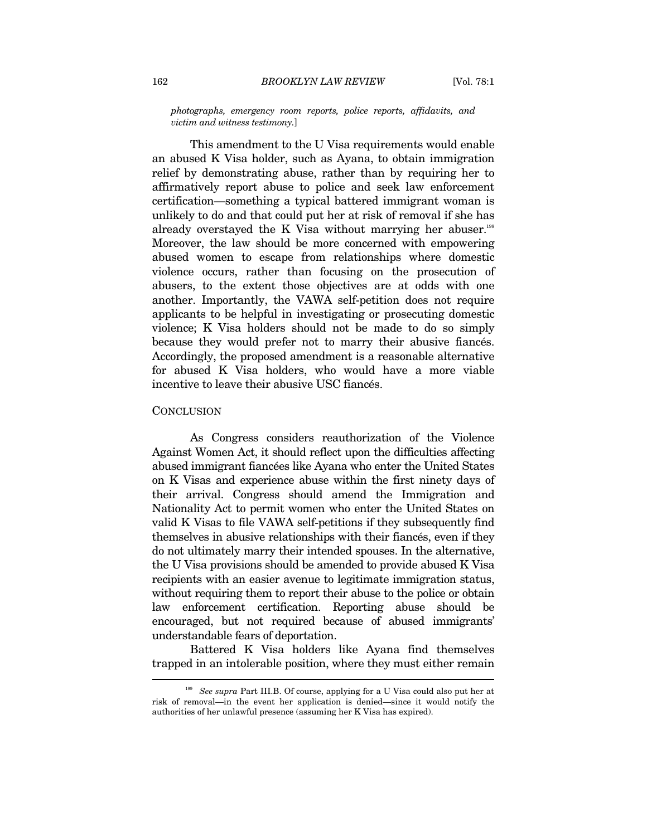*photographs, emergency room reports, police reports, affidavits, and victim and witness testimony.*]

This amendment to the U Visa requirements would enable an abused K Visa holder, such as Ayana, to obtain immigration relief by demonstrating abuse, rather than by requiring her to affirmatively report abuse to police and seek law enforcement certification—something a typical battered immigrant woman is unlikely to do and that could put her at risk of removal if she has already overstayed the K Visa without marrying her abuser. $199$ Moreover, the law should be more concerned with empowering abused women to escape from relationships where domestic violence occurs, rather than focusing on the prosecution of abusers, to the extent those objectives are at odds with one another. Importantly, the VAWA self-petition does not require applicants to be helpful in investigating or prosecuting domestic violence; K Visa holders should not be made to do so simply because they would prefer not to marry their abusive fiancés. Accordingly, the proposed amendment is a reasonable alternative for abused K Visa holders, who would have a more viable incentive to leave their abusive USC fiancés.

#### **CONCLUSION**

As Congress considers reauthorization of the Violence Against Women Act, it should reflect upon the difficulties affecting abused immigrant fiancées like Ayana who enter the United States on K Visas and experience abuse within the first ninety days of their arrival. Congress should amend the Immigration and Nationality Act to permit women who enter the United States on valid K Visas to file VAWA self-petitions if they subsequently find themselves in abusive relationships with their fiancés, even if they do not ultimately marry their intended spouses. In the alternative, the U Visa provisions should be amended to provide abused K Visa recipients with an easier avenue to legitimate immigration status, without requiring them to report their abuse to the police or obtain law enforcement certification. Reporting abuse should be encouraged, but not required because of abused immigrants' understandable fears of deportation.

Battered K Visa holders like Ayana find themselves trapped in an intolerable position, where they must either remain  $\overline{a}$ 

<sup>199</sup> *See supra* Part III.B. Of course, applying for a U Visa could also put her at risk of removal—in the event her application is denied—since it would notify the authorities of her unlawful presence (assuming her K Visa has expired).